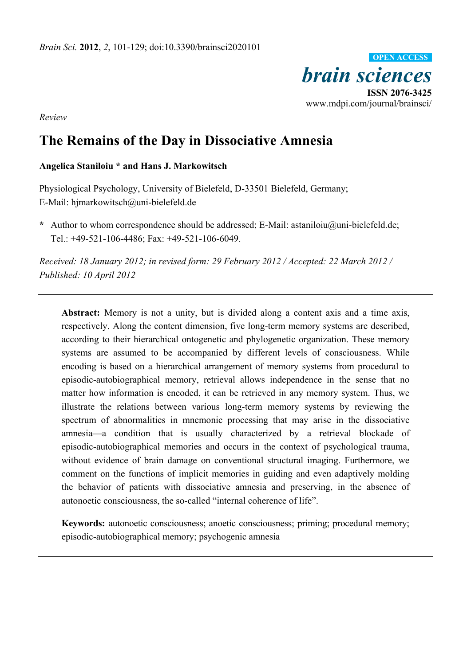

*Review* 

# **The Remains of the Day in Dissociative Amnesia**

# **Angelica Staniloiu \* and Hans J. Markowitsch**

Physiological Psychology, University of Bielefeld, D-33501 Bielefeld, Germany; E-Mail: hjmarkowitsch@uni-bielefeld.de

**\*** Author to whom correspondence should be addressed; E-Mail: astaniloiu@uni-bielefeld.de; Tel.: +49-521-106-4486; Fax: +49-521-106-6049.

*Received: 18 January 2012; in revised form: 29 February 2012 / Accepted: 22 March 2012 / Published: 10 April 2012* 

**Abstract:** Memory is not a unity, but is divided along a content axis and a time axis, respectively. Along the content dimension, five long-term memory systems are described, according to their hierarchical ontogenetic and phylogenetic organization. These memory systems are assumed to be accompanied by different levels of consciousness. While encoding is based on a hierarchical arrangement of memory systems from procedural to episodic-autobiographical memory, retrieval allows independence in the sense that no matter how information is encoded, it can be retrieved in any memory system. Thus, we illustrate the relations between various long-term memory systems by reviewing the spectrum of abnormalities in mnemonic processing that may arise in the dissociative amnesia—a condition that is usually characterized by a retrieval blockade of episodic-autobiographical memories and occurs in the context of psychological trauma, without evidence of brain damage on conventional structural imaging. Furthermore, we comment on the functions of implicit memories in guiding and even adaptively molding the behavior of patients with dissociative amnesia and preserving, in the absence of autonoetic consciousness, the so-called "internal coherence of life".

**Keywords:** autonoetic consciousness; anoetic consciousness; priming; procedural memory; episodic-autobiographical memory; psychogenic amnesia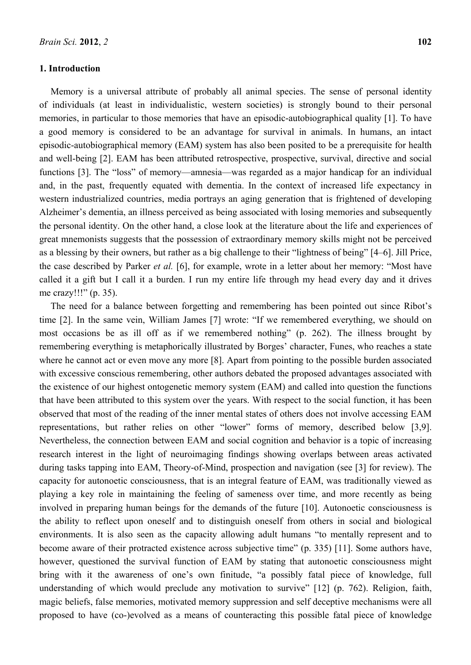### **1. Introduction**

Memory is a universal attribute of probably all animal species. The sense of personal identity of individuals (at least in individualistic, western societies) is strongly bound to their personal memories, in particular to those memories that have an episodic-autobiographical quality [1]. To have a good memory is considered to be an advantage for survival in animals. In humans, an intact episodic-autobiographical memory (EAM) system has also been posited to be a prerequisite for health and well-being [2]. EAM has been attributed retrospective, prospective, survival, directive and social functions [3]. The "loss" of memory—amnesia—was regarded as a major handicap for an individual and, in the past, frequently equated with dementia. In the context of increased life expectancy in western industrialized countries, media portrays an aging generation that is frightened of developing Alzheimer's dementia, an illness perceived as being associated with losing memories and subsequently the personal identity. On the other hand, a close look at the literature about the life and experiences of great mnemonists suggests that the possession of extraordinary memory skills might not be perceived as a blessing by their owners, but rather as a big challenge to their "lightness of being" [4–6]. Jill Price, the case described by Parker *et al.* [6], for example, wrote in a letter about her memory: "Most have called it a gift but I call it a burden. I run my entire life through my head every day and it drives me crazy!!!" (p. 35).

The need for a balance between forgetting and remembering has been pointed out since Ribot's time [2]. In the same vein, William James [7] wrote: "If we remembered everything, we should on most occasions be as ill off as if we remembered nothing" (p. 262). The illness brought by remembering everything is metaphorically illustrated by Borges' character, Funes, who reaches a state where he cannot act or even move any more [8]. Apart from pointing to the possible burden associated with excessive conscious remembering, other authors debated the proposed advantages associated with the existence of our highest ontogenetic memory system (EAM) and called into question the functions that have been attributed to this system over the years. With respect to the social function, it has been observed that most of the reading of the inner mental states of others does not involve accessing EAM representations, but rather relies on other "lower" forms of memory, described below [3,9]. Nevertheless, the connection between EAM and social cognition and behavior is a topic of increasing research interest in the light of neuroimaging findings showing overlaps between areas activated during tasks tapping into EAM, Theory-of-Mind, prospection and navigation (see [3] for review). The capacity for autonoetic consciousness, that is an integral feature of EAM, was traditionally viewed as playing a key role in maintaining the feeling of sameness over time, and more recently as being involved in preparing human beings for the demands of the future [10]. Autonoetic consciousness is the ability to reflect upon oneself and to distinguish oneself from others in social and biological environments. It is also seen as the capacity allowing adult humans "to mentally represent and to become aware of their protracted existence across subjective time" (p. 335) [11]. Some authors have, however, questioned the survival function of EAM by stating that autonoetic consciousness might bring with it the awareness of one's own finitude, "a possibly fatal piece of knowledge, full understanding of which would preclude any motivation to survive" [12] (p. 762). Religion, faith, magic beliefs, false memories, motivated memory suppression and self deceptive mechanisms were all proposed to have (co-)evolved as a means of counteracting this possible fatal piece of knowledge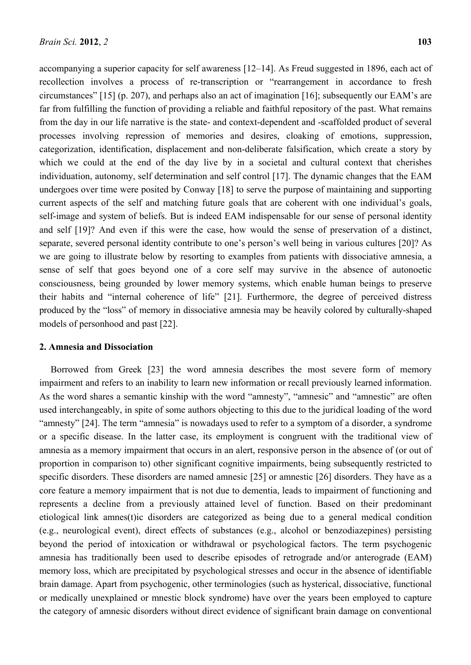accompanying a superior capacity for self awareness [12–14]. As Freud suggested in 1896, each act of recollection involves a process of re-transcription or "rearrangement in accordance to fresh circumstances" [15] (p. 207), and perhaps also an act of imagination [16]; subsequently our EAM's are far from fulfilling the function of providing a reliable and faithful repository of the past. What remains from the day in our life narrative is the state- and context-dependent and -scaffolded product of several processes involving repression of memories and desires, cloaking of emotions, suppression, categorization, identification, displacement and non-deliberate falsification, which create a story by which we could at the end of the day live by in a societal and cultural context that cherishes individuation, autonomy, self determination and self control [17]. The dynamic changes that the EAM undergoes over time were posited by Conway [18] to serve the purpose of maintaining and supporting current aspects of the self and matching future goals that are coherent with one individual's goals, self-image and system of beliefs. But is indeed EAM indispensable for our sense of personal identity and self [19]? And even if this were the case, how would the sense of preservation of a distinct, separate, severed personal identity contribute to one's person's well being in various cultures [20]? As we are going to illustrate below by resorting to examples from patients with dissociative amnesia, a sense of self that goes beyond one of a core self may survive in the absence of autonoetic consciousness, being grounded by lower memory systems, which enable human beings to preserve their habits and "internal coherence of life" [21]. Furthermore, the degree of perceived distress produced by the "loss" of memory in dissociative amnesia may be heavily colored by culturally-shaped models of personhood and past [22].

## **2. Amnesia and Dissociation**

Borrowed from Greek [23] the word amnesia describes the most severe form of memory impairment and refers to an inability to learn new information or recall previously learned information. As the word shares a semantic kinship with the word "amnesty", "amnesic" and "amnestic" are often used interchangeably, in spite of some authors objecting to this due to the juridical loading of the word "amnesty" [24]. The term "amnesia" is nowadays used to refer to a symptom of a disorder, a syndrome or a specific disease. In the latter case, its employment is congruent with the traditional view of amnesia as a memory impairment that occurs in an alert, responsive person in the absence of (or out of proportion in comparison to) other significant cognitive impairments, being subsequently restricted to specific disorders. These disorders are named amnesic [25] or amnestic [26] disorders. They have as a core feature a memory impairment that is not due to dementia, leads to impairment of functioning and represents a decline from a previously attained level of function. Based on their predominant etiological link amnes(t)ic disorders are categorized as being due to a general medical condition (e.g., neurological event), direct effects of substances (e.g., alcohol or benzodiazepines) persisting beyond the period of intoxication or withdrawal or psychological factors. The term psychogenic amnesia has traditionally been used to describe episodes of retrograde and/or anterograde (EAM) memory loss, which are precipitated by psychological stresses and occur in the absence of identifiable brain damage. Apart from psychogenic, other terminologies (such as hysterical, dissociative, functional or medically unexplained or mnestic block syndrome) have over the years been employed to capture the category of amnesic disorders without direct evidence of significant brain damage on conventional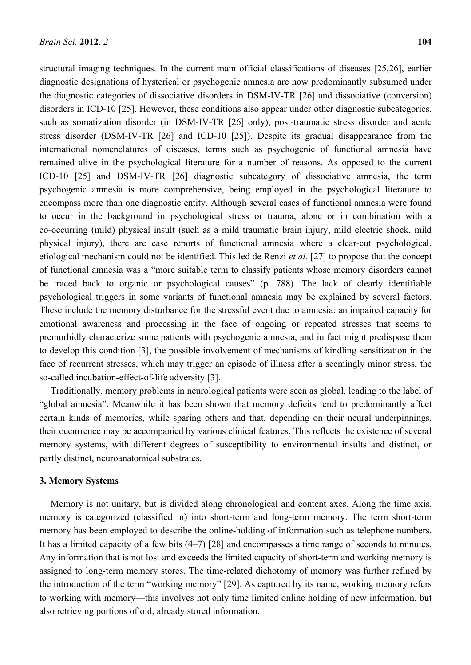structural imaging techniques. In the current main official classifications of diseases [25,26], earlier diagnostic designations of hysterical or psychogenic amnesia are now predominantly subsumed under the diagnostic categories of dissociative disorders in DSM-IV-TR [26] and dissociative (conversion) disorders in ICD-10 [25]. However, these conditions also appear under other diagnostic subcategories, such as somatization disorder (in DSM-IV-TR [26] only), post-traumatic stress disorder and acute stress disorder (DSM-IV-TR [26] and ICD-10 [25]). Despite its gradual disappearance from the international nomenclatures of diseases, terms such as psychogenic of functional amnesia have remained alive in the psychological literature for a number of reasons. As opposed to the current ICD-10 [25] and DSM-IV-TR [26] diagnostic subcategory of dissociative amnesia, the term psychogenic amnesia is more comprehensive, being employed in the psychological literature to encompass more than one diagnostic entity. Although several cases of functional amnesia were found to occur in the background in psychological stress or trauma, alone or in combination with a co-occurring (mild) physical insult (such as a mild traumatic brain injury, mild electric shock, mild physical injury), there are case reports of functional amnesia where a clear-cut psychological, etiological mechanism could not be identified. This led de Renzi *et al.* [27] to propose that the concept of functional amnesia was a "more suitable term to classify patients whose memory disorders cannot be traced back to organic or psychological causes" (p. 788). The lack of clearly identifiable psychological triggers in some variants of functional amnesia may be explained by several factors. These include the memory disturbance for the stressful event due to amnesia: an impaired capacity for emotional awareness and processing in the face of ongoing or repeated stresses that seems to premorbidly characterize some patients with psychogenic amnesia, and in fact might predispose them to develop this condition [3], the possible involvement of mechanisms of kindling sensitization in the face of recurrent stresses, which may trigger an episode of illness after a seemingly minor stress, the so-called incubation-effect-of-life adversity [3].

Traditionally, memory problems in neurological patients were seen as global, leading to the label of "global amnesia". Meanwhile it has been shown that memory deficits tend to predominantly affect certain kinds of memories, while sparing others and that, depending on their neural underpinnings, their occurrence may be accompanied by various clinical features. This reflects the existence of several memory systems, with different degrees of susceptibility to environmental insults and distinct, or partly distinct, neuroanatomical substrates.

#### **3. Memory Systems**

Memory is not unitary, but is divided along chronological and content axes. Along the time axis, memory is categorized (classified in) into short-term and long-term memory. The term short-term memory has been employed to describe the online-holding of information such as telephone numbers. It has a limited capacity of a few bits (4–7) [28] and encompasses a time range of seconds to minutes. Any information that is not lost and exceeds the limited capacity of short-term and working memory is assigned to long-term memory stores. The time-related dichotomy of memory was further refined by the introduction of the term "working memory" [29]. As captured by its name, working memory refers to working with memory—this involves not only time limited online holding of new information, but also retrieving portions of old, already stored information.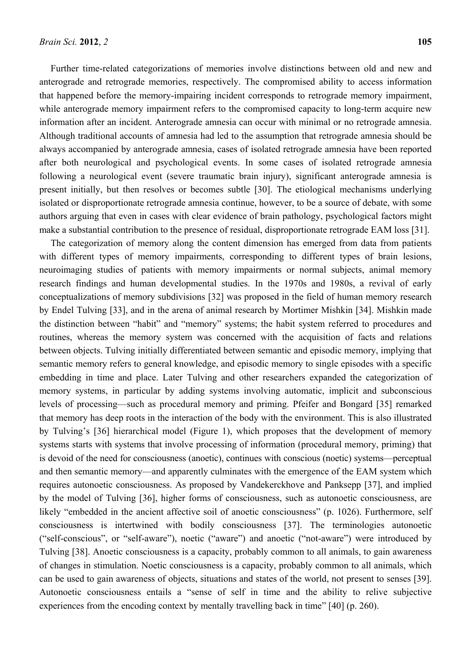Further time-related categorizations of memories involve distinctions between old and new and anterograde and retrograde memories, respectively. The compromised ability to access information that happened before the memory-impairing incident corresponds to retrograde memory impairment, while anterograde memory impairment refers to the compromised capacity to long-term acquire new information after an incident. Anterograde amnesia can occur with minimal or no retrograde amnesia. Although traditional accounts of amnesia had led to the assumption that retrograde amnesia should be always accompanied by anterograde amnesia, cases of isolated retrograde amnesia have been reported after both neurological and psychological events. In some cases of isolated retrograde amnesia following a neurological event (severe traumatic brain injury), significant anterograde amnesia is present initially, but then resolves or becomes subtle [30]. The etiological mechanisms underlying isolated or disproportionate retrograde amnesia continue, however, to be a source of debate, with some authors arguing that even in cases with clear evidence of brain pathology, psychological factors might make a substantial contribution to the presence of residual, disproportionate retrograde EAM loss [31].

The categorization of memory along the content dimension has emerged from data from patients with different types of memory impairments, corresponding to different types of brain lesions, neuroimaging studies of patients with memory impairments or normal subjects, animal memory research findings and human developmental studies. In the 1970s and 1980s, a revival of early conceptualizations of memory subdivisions [32] was proposed in the field of human memory research by Endel Tulving [33], and in the arena of animal research by Mortimer Mishkin [34]. Mishkin made the distinction between "habit" and "memory" systems; the habit system referred to procedures and routines, whereas the memory system was concerned with the acquisition of facts and relations between objects. Tulving initially differentiated between semantic and episodic memory, implying that semantic memory refers to general knowledge, and episodic memory to single episodes with a specific embedding in time and place. Later Tulving and other researchers expanded the categorization of memory systems, in particular by adding systems involving automatic, implicit and subconscious levels of processing—such as procedural memory and priming. Pfeifer and Bongard [35] remarked that memory has deep roots in the interaction of the body with the environment. This is also illustrated by Tulving's [36] hierarchical model (Figure 1), which proposes that the development of memory systems starts with systems that involve processing of information (procedural memory, priming) that is devoid of the need for consciousness (anoetic), continues with conscious (noetic) systems—perceptual and then semantic memory—and apparently culminates with the emergence of the EAM system which requires autonoetic consciousness. As proposed by Vandekerckhove and Panksepp [37], and implied by the model of Tulving [36], higher forms of consciousness, such as autonoetic consciousness, are likely "embedded in the ancient affective soil of anoetic consciousness" (p. 1026). Furthermore, self consciousness is intertwined with bodily consciousness [37]. The terminologies autonoetic ("self-conscious", or "self-aware"), noetic ("aware") and anoetic ("not-aware") were introduced by Tulving [38]. Anoetic consciousness is a capacity, probably common to all animals, to gain awareness of changes in stimulation. Noetic consciousness is a capacity, probably common to all animals, which can be used to gain awareness of objects, situations and states of the world, not present to senses [39]. Autonoetic consciousness entails a "sense of self in time and the ability to relive subjective experiences from the encoding context by mentally travelling back in time" [40] (p. 260).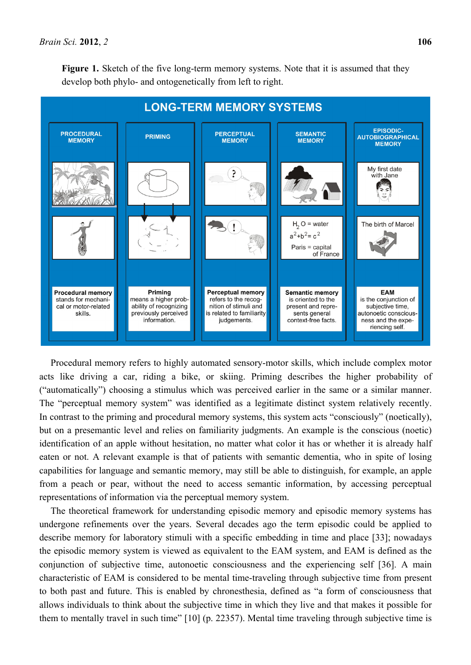Figure 1. Sketch of the five long-term memory systems. Note that it is assumed that they develop both phylo- and ontogenetically from left to right.



Procedural memory refers to highly automated sensory-motor skills, which include complex motor acts like driving a car, riding a bike, or skiing. Priming describes the higher probability of ("automatically") choosing a stimulus which was perceived earlier in the same or a similar manner. The "perceptual memory system" was identified as a legitimate distinct system relatively recently. In contrast to the priming and procedural memory systems, this system acts "consciously" (noetically), but on a presemantic level and relies on familiarity judgments. An example is the conscious (noetic) identification of an apple without hesitation, no matter what color it has or whether it is already half eaten or not. A relevant example is that of patients with semantic dementia, who in spite of losing capabilities for language and semantic memory, may still be able to distinguish, for example, an apple from a peach or pear, without the need to access semantic information, by accessing perceptual representations of information via the perceptual memory system.

The theoretical framework for understanding episodic memory and episodic memory systems has undergone refinements over the years. Several decades ago the term episodic could be applied to describe memory for laboratory stimuli with a specific embedding in time and place [33]; nowadays the episodic memory system is viewed as equivalent to the EAM system, and EAM is defined as the conjunction of subjective time, autonoetic consciousness and the experiencing self [36]. A main characteristic of EAM is considered to be mental time-traveling through subjective time from present to both past and future. This is enabled by chronesthesia, defined as "a form of consciousness that allows individuals to think about the subjective time in which they live and that makes it possible for them to mentally travel in such time" [10] (p. 22357). Mental time traveling through subjective time is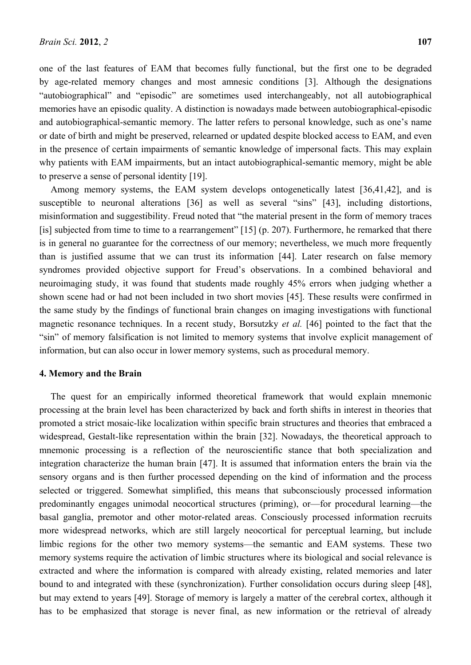one of the last features of EAM that becomes fully functional, but the first one to be degraded by age-related memory changes and most amnesic conditions [3]. Although the designations "autobiographical" and "episodic" are sometimes used interchangeably, not all autobiographical memories have an episodic quality. A distinction is nowadays made between autobiographical-episodic and autobiographical-semantic memory. The latter refers to personal knowledge, such as one's name or date of birth and might be preserved, relearned or updated despite blocked access to EAM, and even in the presence of certain impairments of semantic knowledge of impersonal facts. This may explain why patients with EAM impairments, but an intact autobiographical-semantic memory, might be able to preserve a sense of personal identity [19].

Among memory systems, the EAM system develops ontogenetically latest [36,41,42], and is susceptible to neuronal alterations [36] as well as several "sins" [43], including distortions, misinformation and suggestibility. Freud noted that "the material present in the form of memory traces [is] subjected from time to time to a rearrangement" [15] (p. 207). Furthermore, he remarked that there is in general no guarantee for the correctness of our memory; nevertheless, we much more frequently than is justified assume that we can trust its information [44]. Later research on false memory syndromes provided objective support for Freud's observations. In a combined behavioral and neuroimaging study, it was found that students made roughly 45% errors when judging whether a shown scene had or had not been included in two short movies [45]. These results were confirmed in the same study by the findings of functional brain changes on imaging investigations with functional magnetic resonance techniques. In a recent study, Borsutzky *et al.* [46] pointed to the fact that the "sin" of memory falsification is not limited to memory systems that involve explicit management of information, but can also occur in lower memory systems, such as procedural memory.

#### **4. Memory and the Brain**

The quest for an empirically informed theoretical framework that would explain mnemonic processing at the brain level has been characterized by back and forth shifts in interest in theories that promoted a strict mosaic-like localization within specific brain structures and theories that embraced a widespread, Gestalt-like representation within the brain [32]. Nowadays, the theoretical approach to mnemonic processing is a reflection of the neuroscientific stance that both specialization and integration characterize the human brain [47]. It is assumed that information enters the brain via the sensory organs and is then further processed depending on the kind of information and the process selected or triggered. Somewhat simplified, this means that subconsciously processed information predominantly engages unimodal neocortical structures (priming), or—for procedural learning—the basal ganglia, premotor and other motor-related areas. Consciously processed information recruits more widespread networks, which are still largely neocortical for perceptual learning, but include limbic regions for the other two memory systems—the semantic and EAM systems. These two memory systems require the activation of limbic structures where its biological and social relevance is extracted and where the information is compared with already existing, related memories and later bound to and integrated with these (synchronization). Further consolidation occurs during sleep [48], but may extend to years [49]. Storage of memory is largely a matter of the cerebral cortex, although it has to be emphasized that storage is never final, as new information or the retrieval of already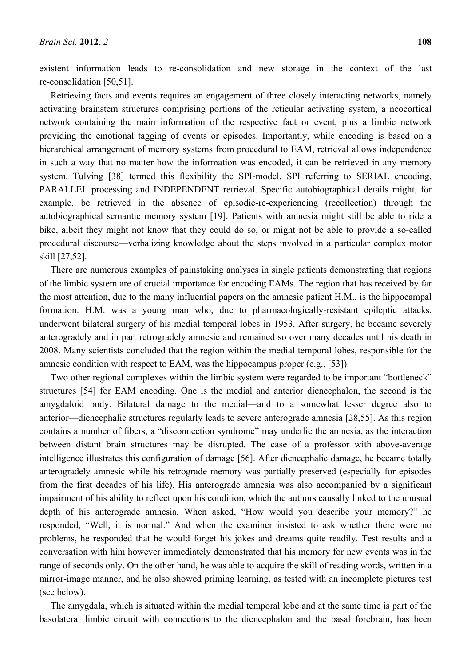existent information leads to re-consolidation and new storage in the context of the last re-consolidation [50,51].

Retrieving facts and events requires an engagement of three closely interacting networks, namely activating brainstem structures comprising portions of the reticular activating system, a neocortical network containing the main information of the respective fact or event, plus a limbic network providing the emotional tagging of events or episodes. Importantly, while encoding is based on a hierarchical arrangement of memory systems from procedural to EAM, retrieval allows independence in such a way that no matter how the information was encoded, it can be retrieved in any memory system. Tulving [38] termed this flexibility the SPI-model, SPI referring to SERIAL encoding, PARALLEL processing and INDEPENDENT retrieval. Specific autobiographical details might, for example, be retrieved in the absence of episodic-re-experiencing (recollection) through the autobiographical semantic memory system [19]. Patients with amnesia might still be able to ride a bike, albeit they might not know that they could do so, or might not be able to provide a so-called procedural discourse—verbalizing knowledge about the steps involved in a particular complex motor skill [27,52].

There are numerous examples of painstaking analyses in single patients demonstrating that regions of the limbic system are of crucial importance for encoding EAMs. The region that has received by far the most attention, due to the many influential papers on the amnesic patient H.M., is the hippocampal formation. H.M. was a young man who, due to pharmacologically-resistant epileptic attacks, underwent bilateral surgery of his medial temporal lobes in 1953. After surgery, he became severely anterogradely and in part retrogradely amnesic and remained so over many decades until his death in 2008. Many scientists concluded that the region within the medial temporal lobes, responsible for the amnesic condition with respect to EAM, was the hippocampus proper (e.g., [53]).

Two other regional complexes within the limbic system were regarded to be important "bottleneck" structures [54] for EAM encoding. One is the medial and anterior diencephalon, the second is the amygdaloid body. Bilateral damage to the medial—and to a somewhat lesser degree also to anterior—diencephalic structures regularly leads to severe anterograde amnesia [28,55]. As this region contains a number of fibers, a "disconnection syndrome" may underlie the amnesia, as the interaction between distant brain structures may be disrupted. The case of a professor with above-average intelligence illustrates this configuration of damage [56]. After diencephalic damage, he became totally anterogradely amnesic while his retrograde memory was partially preserved (especially for episodes from the first decades of his life). His anterograde amnesia was also accompanied by a significant impairment of his ability to reflect upon his condition, which the authors causally linked to the unusual depth of his anterograde amnesia. When asked, "How would you describe your memory?" he responded, "Well, it is normal." And when the examiner insisted to ask whether there were no problems, he responded that he would forget his jokes and dreams quite readily. Test results and a conversation with him however immediately demonstrated that his memory for new events was in the range of seconds only. On the other hand, he was able to acquire the skill of reading words, written in a mirror-image manner, and he also showed priming learning, as tested with an incomplete pictures test (see below).

The amygdala, which is situated within the medial temporal lobe and at the same time is part of the basolateral limbic circuit with connections to the diencephalon and the basal forebrain, has been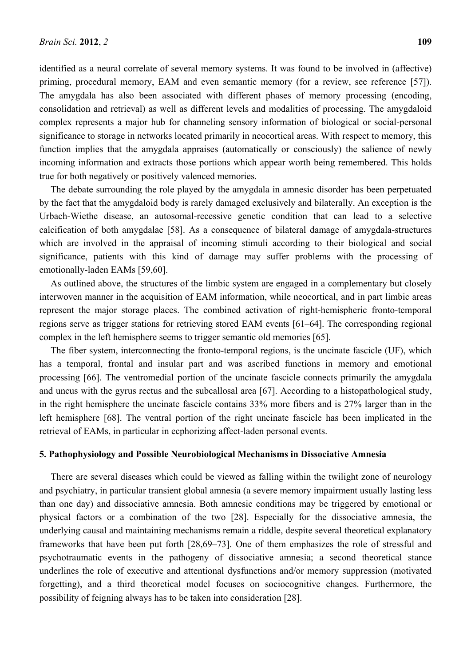identified as a neural correlate of several memory systems. It was found to be involved in (affective) priming, procedural memory, EAM and even semantic memory (for a review, see reference [57]). The amygdala has also been associated with different phases of memory processing (encoding, consolidation and retrieval) as well as different levels and modalities of processing. The amygdaloid complex represents a major hub for channeling sensory information of biological or social-personal significance to storage in networks located primarily in neocortical areas. With respect to memory, this function implies that the amygdala appraises (automatically or consciously) the salience of newly incoming information and extracts those portions which appear worth being remembered. This holds true for both negatively or positively valenced memories.

The debate surrounding the role played by the amygdala in amnesic disorder has been perpetuated by the fact that the amygdaloid body is rarely damaged exclusively and bilaterally. An exception is the Urbach-Wiethe disease, an autosomal-recessive genetic condition that can lead to a selective calcification of both amygdalae [58]. As a consequence of bilateral damage of amygdala-structures which are involved in the appraisal of incoming stimuli according to their biological and social significance, patients with this kind of damage may suffer problems with the processing of emotionally-laden EAMs [59,60].

As outlined above, the structures of the limbic system are engaged in a complementary but closely interwoven manner in the acquisition of EAM information, while neocortical, and in part limbic areas represent the major storage places. The combined activation of right-hemispheric fronto-temporal regions serve as trigger stations for retrieving stored EAM events [61–64]. The corresponding regional complex in the left hemisphere seems to trigger semantic old memories [65].

The fiber system, interconnecting the fronto-temporal regions, is the uncinate fascicle (UF), which has a temporal, frontal and insular part and was ascribed functions in memory and emotional processing [66]. The ventromedial portion of the uncinate fascicle connects primarily the amygdala and uncus with the gyrus rectus and the subcallosal area [67]. According to a histopathological study, in the right hemisphere the uncinate fascicle contains 33% more fibers and is 27% larger than in the left hemisphere [68]. The ventral portion of the right uncinate fascicle has been implicated in the retrieval of EAMs, in particular in ecphorizing affect-laden personal events.

#### **5. Pathophysiology and Possible Neurobiological Mechanisms in Dissociative Amnesia**

There are several diseases which could be viewed as falling within the twilight zone of neurology and psychiatry, in particular transient global amnesia (a severe memory impairment usually lasting less than one day) and dissociative amnesia. Both amnesic conditions may be triggered by emotional or physical factors or a combination of the two [28]. Especially for the dissociative amnesia, the underlying causal and maintaining mechanisms remain a riddle, despite several theoretical explanatory frameworks that have been put forth [28,69–73]. One of them emphasizes the role of stressful and psychotraumatic events in the pathogeny of dissociative amnesia; a second theoretical stance underlines the role of executive and attentional dysfunctions and/or memory suppression (motivated forgetting), and a third theoretical model focuses on sociocognitive changes. Furthermore, the possibility of feigning always has to be taken into consideration [28].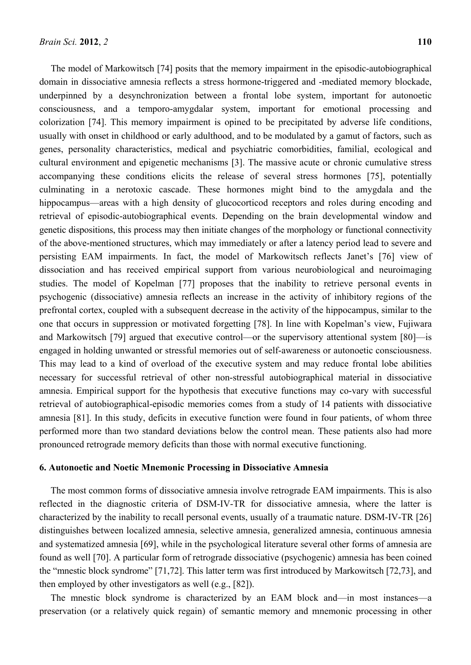The model of Markowitsch [74] posits that the memory impairment in the episodic-autobiographical domain in dissociative amnesia reflects a stress hormone-triggered and -mediated memory blockade, underpinned by a desynchronization between a frontal lobe system, important for autonoetic consciousness, and a temporo-amygdalar system, important for emotional processing and colorization [74]. This memory impairment is opined to be precipitated by adverse life conditions, usually with onset in childhood or early adulthood, and to be modulated by a gamut of factors, such as genes, personality characteristics, medical and psychiatric comorbidities, familial, ecological and cultural environment and epigenetic mechanisms [3]. The massive acute or chronic cumulative stress accompanying these conditions elicits the release of several stress hormones [75], potentially culminating in a nerotoxic cascade. These hormones might bind to the amygdala and the hippocampus—areas with a high density of glucocorticod receptors and roles during encoding and retrieval of episodic-autobiographical events. Depending on the brain developmental window and genetic dispositions, this process may then initiate changes of the morphology or functional connectivity of the above-mentioned structures, which may immediately or after a latency period lead to severe and persisting EAM impairments. In fact, the model of Markowitsch reflects Janet's [76] view of dissociation and has received empirical support from various neurobiological and neuroimaging studies. The model of Kopelman [77] proposes that the inability to retrieve personal events in psychogenic (dissociative) amnesia reflects an increase in the activity of inhibitory regions of the prefrontal cortex, coupled with a subsequent decrease in the activity of the hippocampus, similar to the one that occurs in suppression or motivated forgetting [78]. In line with Kopelman's view, Fujiwara and Markowitsch [79] argued that executive control—or the supervisory attentional system [80]—is engaged in holding unwanted or stressful memories out of self-awareness or autonoetic consciousness. This may lead to a kind of overload of the executive system and may reduce frontal lobe abilities necessary for successful retrieval of other non-stressful autobiographical material in dissociative amnesia. Empirical support for the hypothesis that executive functions may co-vary with successful retrieval of autobiographical-episodic memories comes from a study of 14 patients with dissociative amnesia [81]. In this study, deficits in executive function were found in four patients, of whom three performed more than two standard deviations below the control mean. These patients also had more pronounced retrograde memory deficits than those with normal executive functioning.

#### **6. Autonoetic and Noetic Mnemonic Processing in Dissociative Amnesia**

The most common forms of dissociative amnesia involve retrograde EAM impairments. This is also reflected in the diagnostic criteria of DSM-IV-TR for dissociative amnesia, where the latter is characterized by the inability to recall personal events, usually of a traumatic nature. DSM-IV-TR [26] distinguishes between localized amnesia, selective amnesia, generalized amnesia, continuous amnesia and systematized amnesia [69], while in the psychological literature several other forms of amnesia are found as well [70]. A particular form of retrograde dissociative (psychogenic) amnesia has been coined the "mnestic block syndrome" [71,72]. This latter term was first introduced by Markowitsch [72,73], and then employed by other investigators as well (e.g., [82]).

The mnestic block syndrome is characterized by an EAM block and—in most instances—a preservation (or a relatively quick regain) of semantic memory and mnemonic processing in other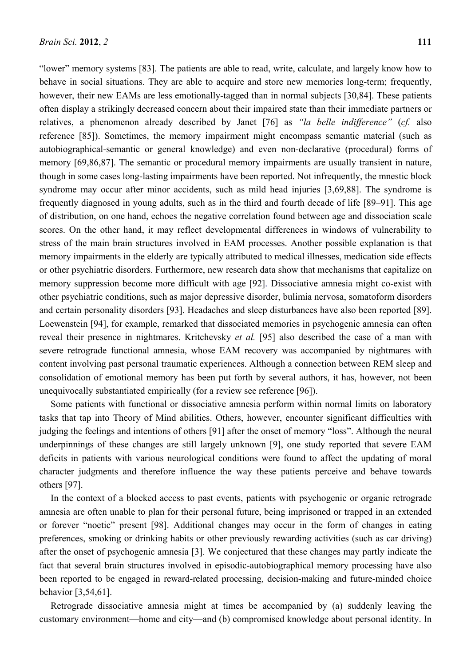"lower" memory systems [83]. The patients are able to read, write, calculate, and largely know how to behave in social situations. They are able to acquire and store new memories long-term; frequently, however, their new EAMs are less emotionally-tagged than in normal subjects [30,84]. These patients often display a strikingly decreased concern about their impaired state than their immediate partners or relatives, a phenomenon already described by Janet [76] as *"la belle indifference"* (*cf.* also reference [85]). Sometimes, the memory impairment might encompass semantic material (such as autobiographical-semantic or general knowledge) and even non-declarative (procedural) forms of memory [69,86,87]. The semantic or procedural memory impairments are usually transient in nature, though in some cases long-lasting impairments have been reported. Not infrequently, the mnestic block syndrome may occur after minor accidents, such as mild head injuries [3,69,88]. The syndrome is frequently diagnosed in young adults, such as in the third and fourth decade of life [89–91]. This age of distribution, on one hand, echoes the negative correlation found between age and dissociation scale scores. On the other hand, it may reflect developmental differences in windows of vulnerability to stress of the main brain structures involved in EAM processes. Another possible explanation is that memory impairments in the elderly are typically attributed to medical illnesses, medication side effects or other psychiatric disorders. Furthermore, new research data show that mechanisms that capitalize on memory suppression become more difficult with age [92]. Dissociative amnesia might co-exist with other psychiatric conditions, such as major depressive disorder, bulimia nervosa, somatoform disorders and certain personality disorders [93]. Headaches and sleep disturbances have also been reported [89]. Loewenstein [94], for example, remarked that dissociated memories in psychogenic amnesia can often reveal their presence in nightmares. Kritchevsky *et al.* [95] also described the case of a man with severe retrograde functional amnesia, whose EAM recovery was accompanied by nightmares with content involving past personal traumatic experiences. Although a connection between REM sleep and consolidation of emotional memory has been put forth by several authors, it has, however, not been unequivocally substantiated empirically (for a review see reference [96]).

Some patients with functional or dissociative amnesia perform within normal limits on laboratory tasks that tap into Theory of Mind abilities. Others, however, encounter significant difficulties with judging the feelings and intentions of others [91] after the onset of memory "loss". Although the neural underpinnings of these changes are still largely unknown [9], one study reported that severe EAM deficits in patients with various neurological conditions were found to affect the updating of moral character judgments and therefore influence the way these patients perceive and behave towards others [97].

In the context of a blocked access to past events, patients with psychogenic or organic retrograde amnesia are often unable to plan for their personal future, being imprisoned or trapped in an extended or forever "noetic" present [98]. Additional changes may occur in the form of changes in eating preferences, smoking or drinking habits or other previously rewarding activities (such as car driving) after the onset of psychogenic amnesia [3]. We conjectured that these changes may partly indicate the fact that several brain structures involved in episodic-autobiographical memory processing have also been reported to be engaged in reward-related processing, decision-making and future-minded choice behavior [3,54,61].

Retrograde dissociative amnesia might at times be accompanied by (a) suddenly leaving the customary environment—home and city—and (b) compromised knowledge about personal identity. In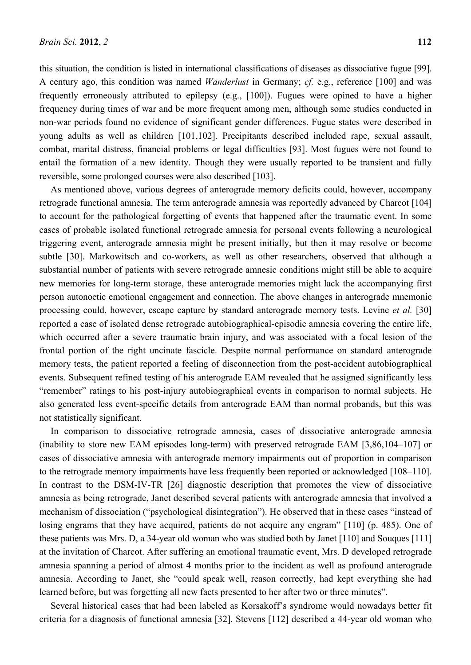this situation, the condition is listed in international classifications of diseases as dissociative fugue [99]. A century ago, this condition was named *Wanderlust* in Germany; *cf.* e.g., reference [100] and was frequently erroneously attributed to epilepsy (e.g., [100]). Fugues were opined to have a higher frequency during times of war and be more frequent among men, although some studies conducted in non-war periods found no evidence of significant gender differences. Fugue states were described in young adults as well as children [101,102]. Precipitants described included rape, sexual assault, combat, marital distress, financial problems or legal difficulties [93]. Most fugues were not found to entail the formation of a new identity. Though they were usually reported to be transient and fully reversible, some prolonged courses were also described [103].

As mentioned above, various degrees of anterograde memory deficits could, however, accompany retrograde functional amnesia. The term anterograde amnesia was reportedly advanced by Charcot [104] to account for the pathological forgetting of events that happened after the traumatic event. In some cases of probable isolated functional retrograde amnesia for personal events following a neurological triggering event, anterograde amnesia might be present initially, but then it may resolve or become subtle [30]. Markowitsch and co-workers, as well as other researchers, observed that although a substantial number of patients with severe retrograde amnesic conditions might still be able to acquire new memories for long-term storage, these anterograde memories might lack the accompanying first person autonoetic emotional engagement and connection. The above changes in anterograde mnemonic processing could, however, escape capture by standard anterograde memory tests. Levine *et al.* [30] reported a case of isolated dense retrograde autobiographical-episodic amnesia covering the entire life, which occurred after a severe traumatic brain injury, and was associated with a focal lesion of the frontal portion of the right uncinate fascicle. Despite normal performance on standard anterograde memory tests, the patient reported a feeling of disconnection from the post-accident autobiographical events. Subsequent refined testing of his anterograde EAM revealed that he assigned significantly less "remember" ratings to his post-injury autobiographical events in comparison to normal subjects. He also generated less event-specific details from anterograde EAM than normal probands, but this was not statistically significant.

In comparison to dissociative retrograde amnesia, cases of dissociative anterograde amnesia (inability to store new EAM episodes long-term) with preserved retrograde EAM [3,86,104–107] or cases of dissociative amnesia with anterograde memory impairments out of proportion in comparison to the retrograde memory impairments have less frequently been reported or acknowledged [108–110]. In contrast to the DSM-IV-TR [26] diagnostic description that promotes the view of dissociative amnesia as being retrograde, Janet described several patients with anterograde amnesia that involved a mechanism of dissociation ("psychological disintegration"). He observed that in these cases "instead of losing engrams that they have acquired, patients do not acquire any engram" [110] (p. 485). One of these patients was Mrs. D, a 34-year old woman who was studied both by Janet [110] and Souques [111] at the invitation of Charcot. After suffering an emotional traumatic event, Mrs. D developed retrograde amnesia spanning a period of almost 4 months prior to the incident as well as profound anterograde amnesia. According to Janet, she "could speak well, reason correctly, had kept everything she had learned before, but was forgetting all new facts presented to her after two or three minutes".

Several historical cases that had been labeled as Korsakoff's syndrome would nowadays better fit criteria for a diagnosis of functional amnesia [32]. Stevens [112] described a 44-year old woman who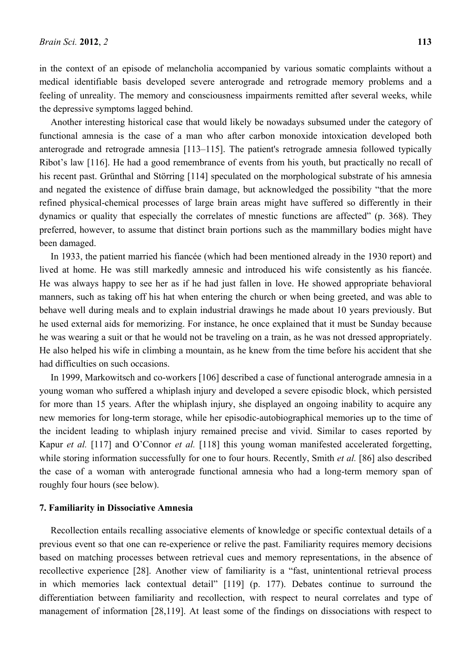in the context of an episode of melancholia accompanied by various somatic complaints without a medical identifiable basis developed severe anterograde and retrograde memory problems and a feeling of unreality. The memory and consciousness impairments remitted after several weeks, while the depressive symptoms lagged behind.

Another interesting historical case that would likely be nowadays subsumed under the category of functional amnesia is the case of a man who after carbon monoxide intoxication developed both anterograde and retrograde amnesia [113–115]. The patient's retrograde amnesia followed typically Ribot's law [116]. He had a good remembrance of events from his youth, but practically no recall of his recent past. Grünthal and Störring [114] speculated on the morphological substrate of his amnesia and negated the existence of diffuse brain damage, but acknowledged the possibility "that the more refined physical-chemical processes of large brain areas might have suffered so differently in their dynamics or quality that especially the correlates of mnestic functions are affected" (p. 368). They preferred, however, to assume that distinct brain portions such as the mammillary bodies might have been damaged.

In 1933, the patient married his fiancée (which had been mentioned already in the 1930 report) and lived at home. He was still markedly amnesic and introduced his wife consistently as his fiancée. He was always happy to see her as if he had just fallen in love. He showed appropriate behavioral manners, such as taking off his hat when entering the church or when being greeted, and was able to behave well during meals and to explain industrial drawings he made about 10 years previously. But he used external aids for memorizing. For instance, he once explained that it must be Sunday because he was wearing a suit or that he would not be traveling on a train, as he was not dressed appropriately. He also helped his wife in climbing a mountain, as he knew from the time before his accident that she had difficulties on such occasions.

In 1999, Markowitsch and co-workers [106] described a case of functional anterograde amnesia in a young woman who suffered a whiplash injury and developed a severe episodic block, which persisted for more than 15 years. After the whiplash injury, she displayed an ongoing inability to acquire any new memories for long-term storage, while her episodic-autobiographical memories up to the time of the incident leading to whiplash injury remained precise and vivid. Similar to cases reported by Kapur *et al.* [117] and O'Connor *et al.* [118] this young woman manifested accelerated forgetting, while storing information successfully for one to four hours. Recently, Smith *et al.* [86] also described the case of a woman with anterograde functional amnesia who had a long-term memory span of roughly four hours (see below).

#### **7. Familiarity in Dissociative Amnesia**

Recollection entails recalling associative elements of knowledge or specific contextual details of a previous event so that one can re-experience or relive the past. Familiarity requires memory decisions based on matching processes between retrieval cues and memory representations, in the absence of recollective experience [28]. Another view of familiarity is a "fast, unintentional retrieval process in which memories lack contextual detail" [119] (p. 177). Debates continue to surround the differentiation between familiarity and recollection, with respect to neural correlates and type of management of information [28,119]. At least some of the findings on dissociations with respect to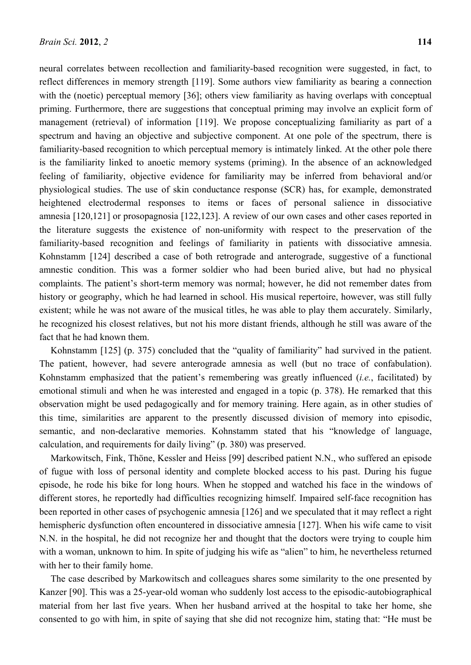neural correlates between recollection and familiarity-based recognition were suggested, in fact, to reflect differences in memory strength [119]. Some authors view familiarity as bearing a connection with the (noetic) perceptual memory [36]; others view familiarity as having overlaps with conceptual priming. Furthermore, there are suggestions that conceptual priming may involve an explicit form of management (retrieval) of information [119]. We propose conceptualizing familiarity as part of a spectrum and having an objective and subjective component. At one pole of the spectrum, there is familiarity-based recognition to which perceptual memory is intimately linked. At the other pole there is the familiarity linked to anoetic memory systems (priming). In the absence of an acknowledged feeling of familiarity, objective evidence for familiarity may be inferred from behavioral and/or physiological studies. The use of skin conductance response (SCR) has, for example, demonstrated heightened electrodermal responses to items or faces of personal salience in dissociative amnesia [120,121] or prosopagnosia [122,123]. A review of our own cases and other cases reported in the literature suggests the existence of non-uniformity with respect to the preservation of the familiarity-based recognition and feelings of familiarity in patients with dissociative amnesia. Kohnstamm [124] described a case of both retrograde and anterograde, suggestive of a functional amnestic condition. This was a former soldier who had been buried alive, but had no physical complaints. The patient's short-term memory was normal; however, he did not remember dates from history or geography, which he had learned in school. His musical repertoire, however, was still fully existent; while he was not aware of the musical titles, he was able to play them accurately. Similarly, he recognized his closest relatives, but not his more distant friends, although he still was aware of the fact that he had known them.

Kohnstamm [125] (p. 375) concluded that the "quality of familiarity" had survived in the patient. The patient, however, had severe anterograde amnesia as well (but no trace of confabulation). Kohnstamm emphasized that the patient's remembering was greatly influenced (*i.e.*, facilitated) by emotional stimuli and when he was interested and engaged in a topic (p. 378). He remarked that this observation might be used pedagogically and for memory training. Here again, as in other studies of this time, similarities are apparent to the presently discussed division of memory into episodic, semantic, and non-declarative memories. Kohnstamm stated that his "knowledge of language, calculation, and requirements for daily living" (p. 380) was preserved.

Markowitsch, Fink, Thöne, Kessler and Heiss [99] described patient N.N., who suffered an episode of fugue with loss of personal identity and complete blocked access to his past. During his fugue episode, he rode his bike for long hours. When he stopped and watched his face in the windows of different stores, he reportedly had difficulties recognizing himself. Impaired self-face recognition has been reported in other cases of psychogenic amnesia [126] and we speculated that it may reflect a right hemispheric dysfunction often encountered in dissociative amnesia [127]. When his wife came to visit N.N. in the hospital, he did not recognize her and thought that the doctors were trying to couple him with a woman, unknown to him. In spite of judging his wife as "alien" to him, he nevertheless returned with her to their family home.

The case described by Markowitsch and colleagues shares some similarity to the one presented by Kanzer [90]. This was a 25-year-old woman who suddenly lost access to the episodic-autobiographical material from her last five years. When her husband arrived at the hospital to take her home, she consented to go with him, in spite of saying that she did not recognize him, stating that: "He must be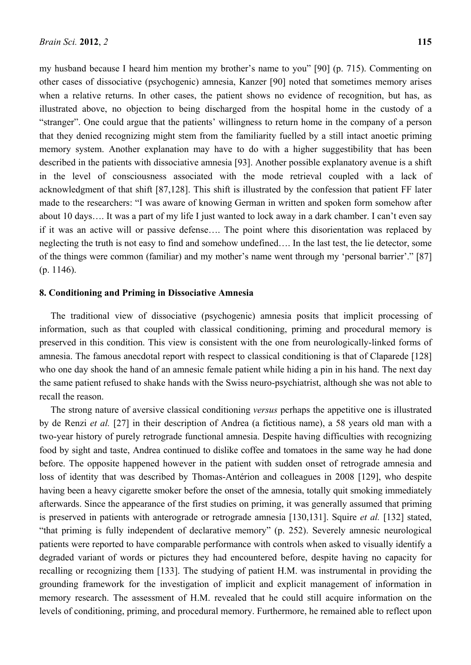my husband because I heard him mention my brother's name to you" [90] (p. 715). Commenting on other cases of dissociative (psychogenic) amnesia, Kanzer [90] noted that sometimes memory arises when a relative returns. In other cases, the patient shows no evidence of recognition, but has, as illustrated above, no objection to being discharged from the hospital home in the custody of a "stranger". One could argue that the patients' willingness to return home in the company of a person that they denied recognizing might stem from the familiarity fuelled by a still intact anoetic priming memory system. Another explanation may have to do with a higher suggestibility that has been described in the patients with dissociative amnesia [93]. Another possible explanatory avenue is a shift in the level of consciousness associated with the mode retrieval coupled with a lack of acknowledgment of that shift [87,128]. This shift is illustrated by the confession that patient FF later made to the researchers: "I was aware of knowing German in written and spoken form somehow after about 10 days…. It was a part of my life I just wanted to lock away in a dark chamber. I can't even say if it was an active will or passive defense…. The point where this disorientation was replaced by neglecting the truth is not easy to find and somehow undefined…. In the last test, the lie detector, some of the things were common (familiar) and my mother's name went through my 'personal barrier'." [87] (p. 1146).

#### **8. Conditioning and Priming in Dissociative Amnesia**

The traditional view of dissociative (psychogenic) amnesia posits that implicit processing of information, such as that coupled with classical conditioning, priming and procedural memory is preserved in this condition. This view is consistent with the one from neurologically-linked forms of amnesia. The famous anecdotal report with respect to classical conditioning is that of Claparede [128] who one day shook the hand of an amnesic female patient while hiding a pin in his hand. The next day the same patient refused to shake hands with the Swiss neuro-psychiatrist, although she was not able to recall the reason.

The strong nature of aversive classical conditioning *versus* perhaps the appetitive one is illustrated by de Renzi *et al.* [27] in their description of Andrea (a fictitious name), a 58 years old man with a two-year history of purely retrograde functional amnesia. Despite having difficulties with recognizing food by sight and taste, Andrea continued to dislike coffee and tomatoes in the same way he had done before. The opposite happened however in the patient with sudden onset of retrograde amnesia and loss of identity that was described by Thomas-Antérion and colleagues in 2008 [129], who despite having been a heavy cigarette smoker before the onset of the amnesia, totally quit smoking immediately afterwards. Since the appearance of the first studies on priming, it was generally assumed that priming is preserved in patients with anterograde or retrograde amnesia [130,131]. Squire *et al.* [132] stated, "that priming is fully independent of declarative memory" (p. 252). Severely amnesic neurological patients were reported to have comparable performance with controls when asked to visually identify a degraded variant of words or pictures they had encountered before, despite having no capacity for recalling or recognizing them [133]. The studying of patient H.M. was instrumental in providing the grounding framework for the investigation of implicit and explicit management of information in memory research. The assessment of H.M. revealed that he could still acquire information on the levels of conditioning, priming, and procedural memory. Furthermore, he remained able to reflect upon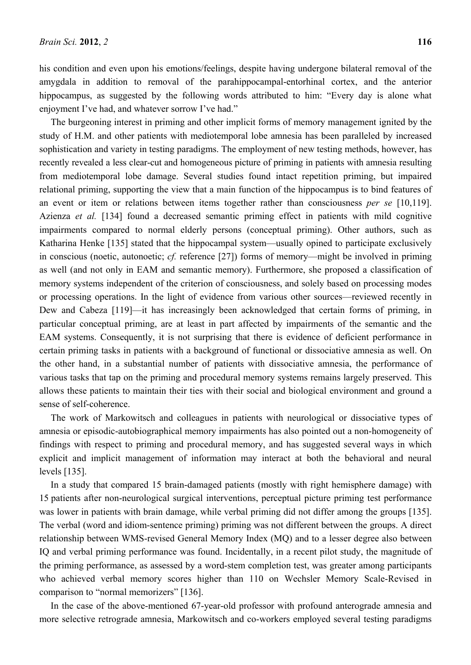his condition and even upon his emotions/feelings, despite having undergone bilateral removal of the amygdala in addition to removal of the parahippocampal-entorhinal cortex, and the anterior hippocampus, as suggested by the following words attributed to him: "Every day is alone what enjoyment I've had, and whatever sorrow I've had."

The burgeoning interest in priming and other implicit forms of memory management ignited by the study of H.M. and other patients with mediotemporal lobe amnesia has been paralleled by increased sophistication and variety in testing paradigms. The employment of new testing methods, however, has recently revealed a less clear-cut and homogeneous picture of priming in patients with amnesia resulting from mediotemporal lobe damage. Several studies found intact repetition priming, but impaired relational priming, supporting the view that a main function of the hippocampus is to bind features of an event or item or relations between items together rather than consciousness *per se* [10,119]. Azienza *et al.* [134] found a decreased semantic priming effect in patients with mild cognitive impairments compared to normal elderly persons (conceptual priming). Other authors, such as Katharina Henke [135] stated that the hippocampal system—usually opined to participate exclusively in conscious (noetic, autonoetic; *cf.* reference [27]) forms of memory—might be involved in priming as well (and not only in EAM and semantic memory). Furthermore, she proposed a classification of memory systems independent of the criterion of consciousness, and solely based on processing modes or processing operations. In the light of evidence from various other sources—reviewed recently in Dew and Cabeza [119]—it has increasingly been acknowledged that certain forms of priming, in particular conceptual priming, are at least in part affected by impairments of the semantic and the EAM systems. Consequently, it is not surprising that there is evidence of deficient performance in certain priming tasks in patients with a background of functional or dissociative amnesia as well. On the other hand, in a substantial number of patients with dissociative amnesia, the performance of various tasks that tap on the priming and procedural memory systems remains largely preserved. This allows these patients to maintain their ties with their social and biological environment and ground a sense of self-coherence.

The work of Markowitsch and colleagues in patients with neurological or dissociative types of amnesia or episodic-autobiographical memory impairments has also pointed out a non-homogeneity of findings with respect to priming and procedural memory, and has suggested several ways in which explicit and implicit management of information may interact at both the behavioral and neural levels [135].

In a study that compared 15 brain-damaged patients (mostly with right hemisphere damage) with 15 patients after non-neurological surgical interventions, perceptual picture priming test performance was lower in patients with brain damage, while verbal priming did not differ among the groups [135]. The verbal (word and idiom-sentence priming) priming was not different between the groups. A direct relationship between WMS-revised General Memory Index (MQ) and to a lesser degree also between IQ and verbal priming performance was found. Incidentally, in a recent pilot study, the magnitude of the priming performance, as assessed by a word-stem completion test, was greater among participants who achieved verbal memory scores higher than 110 on Wechsler Memory Scale-Revised in comparison to "normal memorizers" [136].

In the case of the above-mentioned 67-year-old professor with profound anterograde amnesia and more selective retrograde amnesia, Markowitsch and co-workers employed several testing paradigms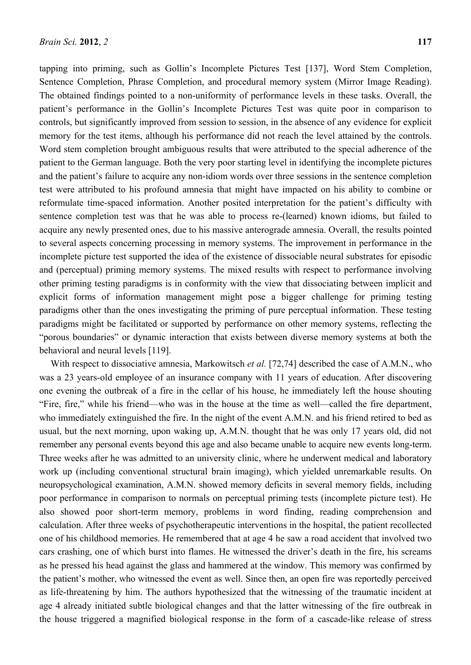tapping into priming, such as Gollin's Incomplete Pictures Test [137], Word Stem Completion, Sentence Completion, Phrase Completion, and procedural memory system (Mirror Image Reading). The obtained findings pointed to a non-uniformity of performance levels in these tasks. Overall, the patient's performance in the Gollin's Incomplete Pictures Test was quite poor in comparison to controls, but significantly improved from session to session, in the absence of any evidence for explicit memory for the test items, although his performance did not reach the level attained by the controls. Word stem completion brought ambiguous results that were attributed to the special adherence of the patient to the German language. Both the very poor starting level in identifying the incomplete pictures and the patient's failure to acquire any non-idiom words over three sessions in the sentence completion test were attributed to his profound amnesia that might have impacted on his ability to combine or reformulate time-spaced information. Another posited interpretation for the patient's difficulty with sentence completion test was that he was able to process re-(learned) known idioms, but failed to acquire any newly presented ones, due to his massive anterograde amnesia. Overall, the results pointed to several aspects concerning processing in memory systems. The improvement in performance in the incomplete picture test supported the idea of the existence of dissociable neural substrates for episodic and (perceptual) priming memory systems. The mixed results with respect to performance involving other priming testing paradigms is in conformity with the view that dissociating between implicit and explicit forms of information management might pose a bigger challenge for priming testing paradigms other than the ones investigating the priming of pure perceptual information. These testing paradigms might be facilitated or supported by performance on other memory systems, reflecting the "porous boundaries" or dynamic interaction that exists between diverse memory systems at both the behavioral and neural levels [119].

With respect to dissociative amnesia, Markowitsch *et al.* [72,74] described the case of A.M.N., who was a 23 years-old employee of an insurance company with 11 years of education. After discovering one evening the outbreak of a fire in the cellar of his house, he immediately left the house shouting "Fire, fire," while his friend—who was in the house at the time as well—called the fire department, who immediately extinguished the fire. In the night of the event A.M.N. and his friend retired to bed as usual, but the next morning, upon waking up, A.M.N. thought that he was only 17 years old, did not remember any personal events beyond this age and also became unable to acquire new events long-term. Three weeks after he was admitted to an university clinic, where he underwent medical and laboratory work up (including conventional structural brain imaging), which yielded unremarkable results. On neuropsychological examination, A.M.N. showed memory deficits in several memory fields, including poor performance in comparison to normals on perceptual priming tests (incomplete picture test). He also showed poor short-term memory, problems in word finding, reading comprehension and calculation. After three weeks of psychotherapeutic interventions in the hospital, the patient recollected one of his childhood memories. He remembered that at age 4 he saw a road accident that involved two cars crashing, one of which burst into flames. He witnessed the driver's death in the fire, his screams as he pressed his head against the glass and hammered at the window. This memory was confirmed by the patient's mother, who witnessed the event as well. Since then, an open fire was reportedly perceived as life-threatening by him. The authors hypothesized that the witnessing of the traumatic incident at age 4 already initiated subtle biological changes and that the latter witnessing of the fire outbreak in the house triggered a magnified biological response in the form of a cascade-like release of stress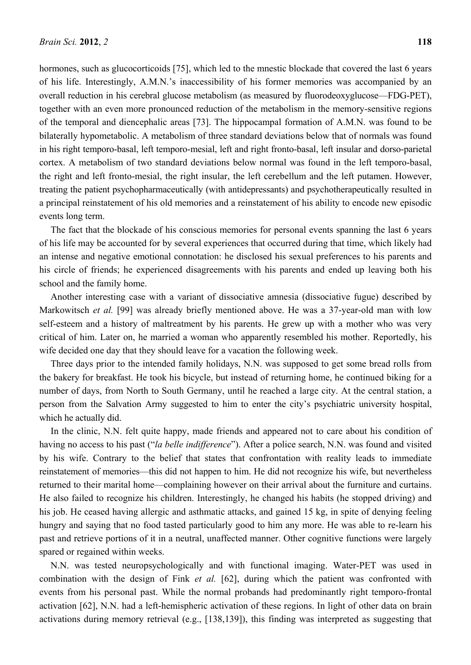hormones, such as glucocorticoids [75], which led to the mnestic blockade that covered the last 6 years of his life. Interestingly, A.M.N.'s inaccessibility of his former memories was accompanied by an overall reduction in his cerebral glucose metabolism (as measured by fluorodeoxyglucose—FDG-PET), together with an even more pronounced reduction of the metabolism in the memory-sensitive regions of the temporal and diencephalic areas [73]. The hippocampal formation of A.M.N. was found to be bilaterally hypometabolic. A metabolism of three standard deviations below that of normals was found in his right temporo-basal, left temporo-mesial, left and right fronto-basal, left insular and dorso-parietal cortex. A metabolism of two standard deviations below normal was found in the left temporo-basal, the right and left fronto-mesial, the right insular, the left cerebellum and the left putamen. However, treating the patient psychopharmaceutically (with antidepressants) and psychotherapeutically resulted in a principal reinstatement of his old memories and a reinstatement of his ability to encode new episodic events long term.

The fact that the blockade of his conscious memories for personal events spanning the last 6 years of his life may be accounted for by several experiences that occurred during that time, which likely had an intense and negative emotional connotation: he disclosed his sexual preferences to his parents and his circle of friends; he experienced disagreements with his parents and ended up leaving both his school and the family home.

Another interesting case with a variant of dissociative amnesia (dissociative fugue) described by Markowitsch *et al.* [99] was already briefly mentioned above. He was a 37-year-old man with low self-esteem and a history of maltreatment by his parents. He grew up with a mother who was very critical of him. Later on, he married a woman who apparently resembled his mother. Reportedly, his wife decided one day that they should leave for a vacation the following week.

Three days prior to the intended family holidays, N.N. was supposed to get some bread rolls from the bakery for breakfast. He took his bicycle, but instead of returning home, he continued biking for a number of days, from North to South Germany, until he reached a large city. At the central station, a person from the Salvation Army suggested to him to enter the city's psychiatric university hospital, which he actually did.

In the clinic, N.N. felt quite happy, made friends and appeared not to care about his condition of having no access to his past ("*la belle indifference*"). After a police search, N.N. was found and visited by his wife. Contrary to the belief that states that confrontation with reality leads to immediate reinstatement of memories—this did not happen to him. He did not recognize his wife, but nevertheless returned to their marital home—complaining however on their arrival about the furniture and curtains. He also failed to recognize his children. Interestingly, he changed his habits (he stopped driving) and his job. He ceased having allergic and asthmatic attacks, and gained 15 kg, in spite of denying feeling hungry and saying that no food tasted particularly good to him any more. He was able to re-learn his past and retrieve portions of it in a neutral, unaffected manner. Other cognitive functions were largely spared or regained within weeks.

N.N. was tested neuropsychologically and with functional imaging. Water-PET was used in combination with the design of Fink *et al.* [62], during which the patient was confronted with events from his personal past. While the normal probands had predominantly right temporo-frontal activation [62], N.N. had a left-hemispheric activation of these regions. In light of other data on brain activations during memory retrieval (e.g., [138,139]), this finding was interpreted as suggesting that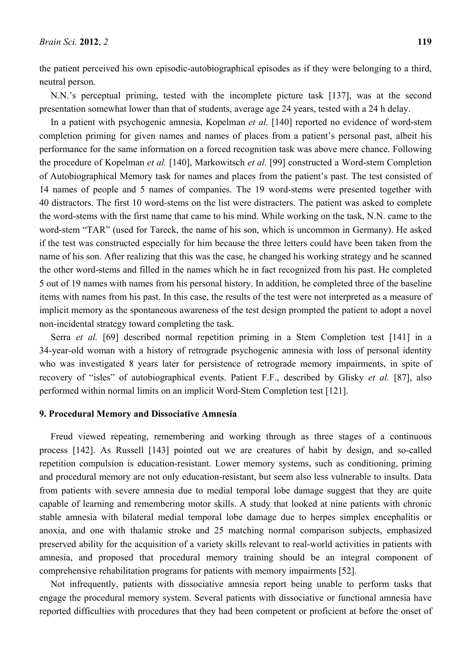the patient perceived his own episodic-autobiographical episodes as if they were belonging to a third, neutral person.

N.N.'s perceptual priming, tested with the incomplete picture task [137], was at the second presentation somewhat lower than that of students, average age 24 years, tested with a 24 h delay.

In a patient with psychogenic amnesia, Kopelman *et al.* [140] reported no evidence of word-stem completion priming for given names and names of places from a patient's personal past, albeit his performance for the same information on a forced recognition task was above mere chance. Following the procedure of Kopelman *et al.* [140], Markowitsch *et al.* [99] constructed a Word-stem Completion of Autobiographical Memory task for names and places from the patient's past. The test consisted of 14 names of people and 5 names of companies. The 19 word-stems were presented together with 40 distractors. The first 10 word-stems on the list were distracters. The patient was asked to complete the word-stems with the first name that came to his mind. While working on the task, N.N. came to the word-stem "TAR" (used for Tareck, the name of his son, which is uncommon in Germany). He asked if the test was constructed especially for him because the three letters could have been taken from the name of his son. After realizing that this was the case, he changed his working strategy and he scanned the other word-stems and filled in the names which he in fact recognized from his past. He completed 5 out of 19 names with names from his personal history. In addition, he completed three of the baseline items with names from his past. In this case, the results of the test were not interpreted as a measure of implicit memory as the spontaneous awareness of the test design prompted the patient to adopt a novel non-incidental strategy toward completing the task.

Serra *et al.* [69] described normal repetition priming in a Stem Completion test [141] in a 34-year-old woman with a history of retrograde psychogenic amnesia with loss of personal identity who was investigated 8 years later for persistence of retrograde memory impairments, in spite of recovery of "isles" of autobiographical events. Patient F.F., described by Glisky *et al.* [87], also performed within normal limits on an implicit Word-Stem Completion test [121].

# **9. Procedural Memory and Dissociative Amnesia**

Freud viewed repeating, remembering and working through as three stages of a continuous process [142]. As Russell [143] pointed out we are creatures of habit by design, and so-called repetition compulsion is education-resistant. Lower memory systems, such as conditioning, priming and procedural memory are not only education-resistant, but seem also less vulnerable to insults. Data from patients with severe amnesia due to medial temporal lobe damage suggest that they are quite capable of learning and remembering motor skills. A study that looked at nine patients with chronic stable amnesia with bilateral medial temporal lobe damage due to herpes simplex encephalitis or anoxia, and one with thalamic stroke and 25 matching normal comparison subjects, emphasized preserved ability for the acquisition of a variety skills relevant to real-world activities in patients with amnesia, and proposed that procedural memory training should be an integral component of comprehensive rehabilitation programs for patients with memory impairments [52].

Not infrequently, patients with dissociative amnesia report being unable to perform tasks that engage the procedural memory system. Several patients with dissociative or functional amnesia have reported difficulties with procedures that they had been competent or proficient at before the onset of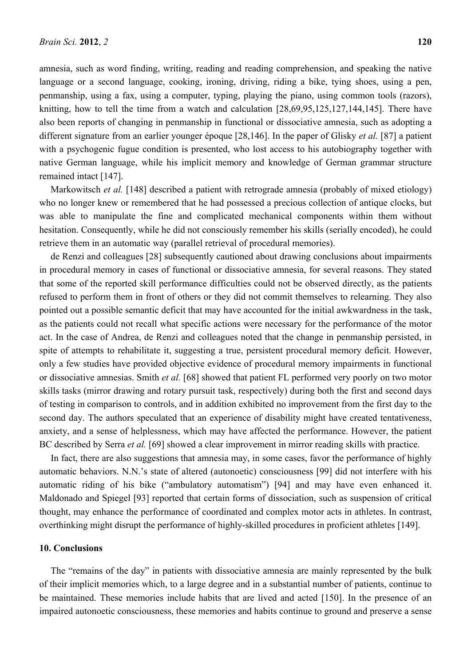amnesia, such as word finding, writing, reading and reading comprehension, and speaking the native language or a second language, cooking, ironing, driving, riding a bike, tying shoes, using a pen, penmanship, using a fax, using a computer, typing, playing the piano, using common tools (razors), knitting, how to tell the time from a watch and calculation [28,69,95,125,127,144,145]. There have also been reports of changing in penmanship in functional or dissociative amnesia, such as adopting a different signature from an earlier younger époque [28,146]. In the paper of Glisky *et al.* [87] a patient with a psychogenic fugue condition is presented, who lost access to his autobiography together with native German language, while his implicit memory and knowledge of German grammar structure remained intact [147].

Markowitsch *et al.* [148] described a patient with retrograde amnesia (probably of mixed etiology) who no longer knew or remembered that he had possessed a precious collection of antique clocks, but was able to manipulate the fine and complicated mechanical components within them without hesitation. Consequently, while he did not consciously remember his skills (serially encoded), he could retrieve them in an automatic way (parallel retrieval of procedural memories).

de Renzi and colleagues [28] subsequently cautioned about drawing conclusions about impairments in procedural memory in cases of functional or dissociative amnesia, for several reasons. They stated that some of the reported skill performance difficulties could not be observed directly, as the patients refused to perform them in front of others or they did not commit themselves to relearning. They also pointed out a possible semantic deficit that may have accounted for the initial awkwardness in the task, as the patients could not recall what specific actions were necessary for the performance of the motor act. In the case of Andrea, de Renzi and colleagues noted that the change in penmanship persisted, in spite of attempts to rehabilitate it, suggesting a true, persistent procedural memory deficit. However, only a few studies have provided objective evidence of procedural memory impairments in functional or dissociative amnesias. Smith *et al.* [68] showed that patient FL performed very poorly on two motor skills tasks (mirror drawing and rotary pursuit task, respectively) during both the first and second days of testing in comparison to controls, and in addition exhibited no improvement from the first day to the second day. The authors speculated that an experience of disability might have created tentativeness, anxiety, and a sense of helplessness, which may have affected the performance. However, the patient BC described by Serra *et al.* [69] showed a clear improvement in mirror reading skills with practice.

In fact, there are also suggestions that amnesia may, in some cases, favor the performance of highly automatic behaviors. N.N.'s state of altered (autonoetic) consciousness [99] did not interfere with his automatic riding of his bike ("ambulatory automatism") [94] and may have even enhanced it. Maldonado and Spiegel [93] reported that certain forms of dissociation, such as suspension of critical thought, may enhance the performance of coordinated and complex motor acts in athletes. In contrast, overthinking might disrupt the performance of highly-skilled procedures in proficient athletes [149].

# **10. Conclusions**

The "remains of the day" in patients with dissociative amnesia are mainly represented by the bulk of their implicit memories which, to a large degree and in a substantial number of patients, continue to be maintained. These memories include habits that are lived and acted [150]. In the presence of an impaired autonoetic consciousness, these memories and habits continue to ground and preserve a sense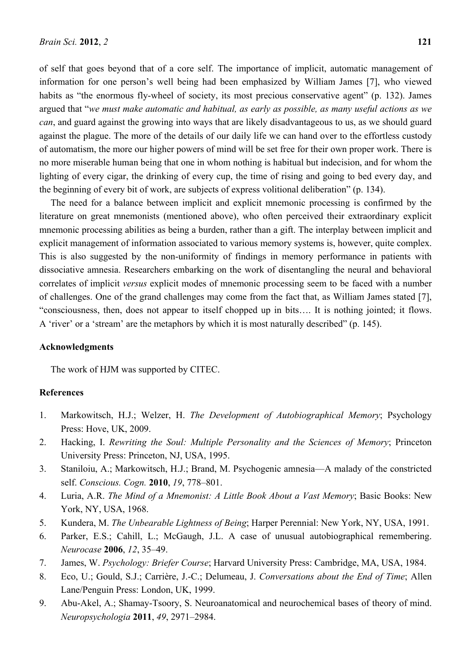of self that goes beyond that of a core self. The importance of implicit, automatic management of information for one person's well being had been emphasized by William James [7], who viewed habits as "the enormous fly-wheel of society, its most precious conservative agent" (p. 132). James argued that "*we must make automatic and habitual, as early as possible, as many useful actions as we can*, and guard against the growing into ways that are likely disadvantageous to us, as we should guard against the plague. The more of the details of our daily life we can hand over to the effortless custody of automatism, the more our higher powers of mind will be set free for their own proper work. There is no more miserable human being that one in whom nothing is habitual but indecision, and for whom the lighting of every cigar, the drinking of every cup, the time of rising and going to bed every day, and the beginning of every bit of work, are subjects of express volitional deliberation" (p. 134).

The need for a balance between implicit and explicit mnemonic processing is confirmed by the literature on great mnemonists (mentioned above), who often perceived their extraordinary explicit mnemonic processing abilities as being a burden, rather than a gift. The interplay between implicit and explicit management of information associated to various memory systems is, however, quite complex. This is also suggested by the non-uniformity of findings in memory performance in patients with dissociative amnesia. Researchers embarking on the work of disentangling the neural and behavioral correlates of implicit *versus* explicit modes of mnemonic processing seem to be faced with a number of challenges. One of the grand challenges may come from the fact that, as William James stated [7], "consciousness, then, does not appear to itself chopped up in bits…. It is nothing jointed; it flows. A 'river' or a 'stream' are the metaphors by which it is most naturally described" (p. 145).

#### **Acknowledgments**

The work of HJM was supported by CITEC.

#### **References**

- 1. Markowitsch, H.J.; Welzer, H. *The Development of Autobiographical Memory*; Psychology Press: Hove, UK, 2009.
- 2. Hacking, I. *Rewriting the Soul: Multiple Personality and the Sciences of Memory*; Princeton University Press: Princeton, NJ, USA, 1995.
- 3. Staniloiu, A.; Markowitsch, H.J.; Brand, M. Psychogenic amnesia—A malady of the constricted self. *Conscious. Cogn.* **2010**, *19*, 778–801.
- 4. Luria, A.R. *The Mind of a Mnemonist: A Little Book About a Vast Memory*; Basic Books: New York, NY, USA, 1968.
- 5. Kundera, M. *The Unbearable Lightness of Being*; Harper Perennial: New York, NY, USA, 1991.
- 6. Parker, E.S.; Cahill, L.; McGaugh, J.L. A case of unusual autobiographical remembering. *Neurocase* **2006**, *12*, 35–49.
- 7. James, W. *Psychology: Briefer Course*; Harvard University Press: Cambridge, MA, USA, 1984.
- 8. Eco, U.; Gould, S.J.; Carrière, J.-C.; Delumeau, J. *Conversations about the End of Time*; Allen Lane/Penguin Press: London, UK, 1999.
- 9. Abu-Akel, A.; Shamay-Tsoory, S. Neuroanatomical and neurochemical bases of theory of mind. *Neuropsychologia* **2011**, *49*, 2971–2984.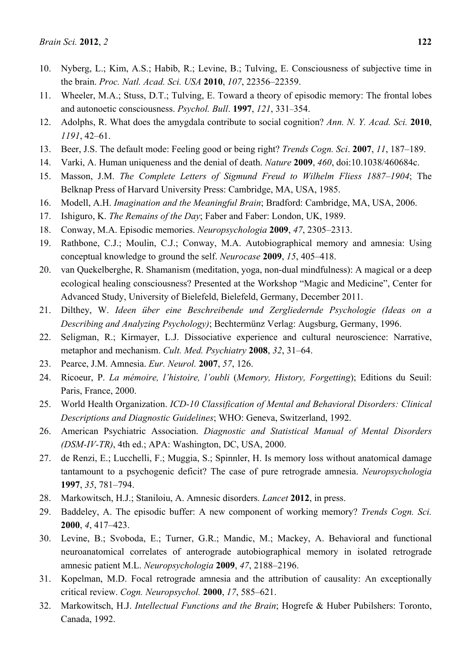- 10. Nyberg, L.; Kim, A.S.; Habib, R.; Levine, B.; Tulving, E. Consciousness of subjective time in the brain. *Proc. Natl. Acad. Sci. USA* **2010**, *107*, 22356–22359.
- 11. Wheeler, M.A.; Stuss, D.T.; Tulving, E. Toward a theory of episodic memory: The frontal lobes and autonoetic consciousness. *Psychol. Bull*. **1997**, *121*, 331–354.
- 12. Adolphs, R. What does the amygdala contribute to social cognition? *Ann. N. Y. Acad. Sci.* **2010**, *1191*, 42–61.
- 13. Beer, J.S. The default mode: Feeling good or being right? *Trends Cogn. Sci*. **2007**, *11*, 187–189.
- 14. Varki, A. Human uniqueness and the denial of death. *Nature* **2009**, *460*, doi:10.1038/460684c.
- 15. Masson, J.M. *The Complete Letters of Sigmund Freud to Wilhelm Fliess 1887*–*1904*; The Belknap Press of Harvard University Press: Cambridge, MA, USA, 1985.
- 16. Modell, A.H. *Imagination and the Meaningful Brain*; Bradford: Cambridge, MA, USA, 2006.
- 17. Ishiguro, K. *The Remains of the Day*; Faber and Faber: London, UK, 1989.
- 18. Conway, M.A. Episodic memories. *Neuropsychologia* **2009**, *47*, 2305–2313.
- 19. Rathbone, C.J.; Moulin, C.J.; Conway, M.A. Autobiographical memory and amnesia: Using conceptual knowledge to ground the self. *Neurocase* **2009**, *15*, 405–418.
- 20. van Quekelberghe, R. Shamanism (meditation, yoga, non-dual mindfulness): A magical or a deep ecological healing consciousness? Presented at the Workshop "Magic and Medicine", Center for Advanced Study, University of Bielefeld, Bielefeld, Germany, December 2011.
- 21. Dilthey, W. *Ideen über eine Beschreibende und Zergliedernde Psychologie (Ideas on a Describing and Analyzing Psychology)*; Bechtermünz Verlag: Augsburg, Germany, 1996.
- 22. Seligman, R.; Kirmayer, L.J. Dissociative experience and cultural neuroscience: Narrative, metaphor and mechanism. *Cult. Med. Psychiatry* **2008**, *32*, 31–64.
- 23. Pearce, J.M. Amnesia. *Eur. Neurol.* **2007**, *57*, 126.
- 24. Ricoeur, P. *La mémoire, l'histoire, l'oubli* (*Memory, History, Forgetting*); Editions du Seuil: Paris, France, 2000.
- 25. World Health Organization. *ICD-10 Classification of Mental and Behavioral Disorders: Clinical Descriptions and Diagnostic Guidelines*; WHO: Geneva, Switzerland, 1992.
- 26. American Psychiatric Association. *Diagnostic and Statistical Manual of Mental Disorders (DSM-IV-TR)*, 4th ed.; APA: Washington, DC, USA, 2000.
- 27. de Renzi, E.; Lucchelli, F.; Muggia, S.; Spinnler, H. Is memory loss without anatomical damage tantamount to a psychogenic deficit? The case of pure retrograde amnesia. *Neuropsychologia*  **1997**, *35*, 781–794.
- 28. Markowitsch, H.J.; Staniloiu, A. Amnesic disorders. *Lancet* **2012**, in press.
- 29. Baddeley, A. The episodic buffer: A new component of working memory? *Trends Cogn. Sci.*  **2000**, *4*, 417–423.
- 30. Levine, B.; Svoboda, E.; Turner, G.R.; Mandic, M.; Mackey, A. Behavioral and functional neuroanatomical correlates of anterograde autobiographical memory in isolated retrograde amnesic patient M.L. *Neuropsychologia* **2009**, *47*, 2188–2196.
- 31. Kopelman, M.D. Focal retrograde amnesia and the attribution of causality: An exceptionally critical review. *Cogn. Neuropsychol.* **2000**, *17*, 585–621.
- 32. Markowitsch, H.J. *Intellectual Functions and the Brain*; Hogrefe & Huber Pubilshers: Toronto, Canada, 1992.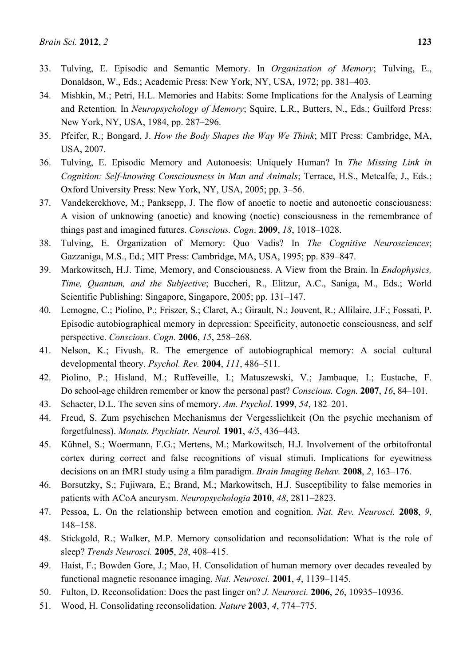- 33. Tulving, E. Episodic and Semantic Memory. In *Organization of Memory*; Tulving, E., Donaldson, W., Eds.; Academic Press: New York, NY, USA, 1972; pp. 381–403.
- 34. Mishkin, M.; Petri, H.L. Memories and Habits: Some Implications for the Analysis of Learning and Retention. In *Neuropsychology of Memory*; Squire, L.R., Butters, N., Eds.; Guilford Press: New York, NY, USA, 1984, pp. 287–296.
- 35. Pfeifer, R.; Bongard, J. *How the Body Shapes the Way We Think*; MIT Press: Cambridge, MA, USA, 2007.
- 36. Tulving, E. Episodic Memory and Autonoesis: Uniquely Human? In *The Missing Link in Cognition: Self-knowing Consciousness in Man and Animals*; Terrace, H.S., Metcalfe, J., Eds.; Oxford University Press: New York, NY, USA, 2005; pp. 3–56.
- 37. Vandekerckhove, M.; Panksepp, J. The flow of anoetic to noetic and autonoetic consciousness: A vision of unknowing (anoetic) and knowing (noetic) consciousness in the remembrance of things past and imagined futures. *Conscious. Cogn*. **2009**, *18*, 1018–1028.
- 38. Tulving, E. Organization of Memory: Quo Vadis? In *The Cognitive Neurosciences*; Gazzaniga, M.S., Ed.; MIT Press: Cambridge, MA, USA, 1995; pp. 839–847.
- 39. Markowitsch, H.J. Time, Memory, and Consciousness. A View from the Brain. In *Endophysics, Time, Quantum, and the Subjective*; Buccheri, R., Elitzur, A.C., Saniga, M., Eds.; World Scientific Publishing: Singapore, Singapore, 2005; pp. 131–147.
- 40. Lemogne, C.; Piolino, P.; Friszer, S.; Claret, A.; Girault, N.; Jouvent, R.; Allilaire, J.F.; Fossati, P. Episodic autobiographical memory in depression: Specificity, autonoetic consciousness, and self perspective. *Conscious. Cogn.* **2006**, *15*, 258–268.
- 41. Nelson, K.; Fivush, R. The emergence of autobiographical memory: A social cultural developmental theory. *Psychol. Rev.* **2004**, *111*, 486–511.
- 42. Piolino, P.; Hisland, M.; Ruffeveille, I.; Matuszewski, V.; Jambaque, I.; Eustache, F. Do school-age children remember or know the personal past? *Conscious. Cogn.* **2007**, *16*, 84–101.
- 43. Schacter, D.L. The seven sins of memory. *Am. Psychol*. **1999**, *54*, 182–201.
- 44. Freud, S. Zum psychischen Mechanismus der Vergesslichkeit (On the psychic mechanism of forgetfulness). *Monats. Psychiatr. Neurol.* **1901**, *4/5*, 436–443.
- 45. Kühnel, S.; Woermann, F.G.; Mertens, M.; Markowitsch, H.J. Involvement of the orbitofrontal cortex during correct and false recognitions of visual stimuli. Implications for eyewitness decisions on an fMRI study using a film paradigm. *Brain Imaging Behav.* **2008**, *2*, 163–176.
- 46. Borsutzky, S.; Fujiwara, E.; Brand, M.; Markowitsch, H.J. Susceptibility to false memories in patients with ACoA aneurysm. *Neuropsychologia* **2010**, *48*, 2811–2823.
- 47. Pessoa, L. On the relationship between emotion and cognition. *Nat. Rev. Neurosci.* **2008**, *9*, 148–158.
- 48. Stickgold, R.; Walker, M.P. Memory consolidation and reconsolidation: What is the role of sleep? *Trends Neurosci.* **2005**, *28*, 408–415.
- 49. Haist, F.; Bowden Gore, J.; Mao, H. Consolidation of human memory over decades revealed by functional magnetic resonance imaging. *Nat. Neurosci.* **2001**, *4*, 1139–1145.
- 50. Fulton, D. Reconsolidation: Does the past linger on? *J. Neurosci.* **2006**, *26*, 10935–10936.
- 51. Wood, H. Consolidating reconsolidation. *Nature* **2003**, *4*, 774–775.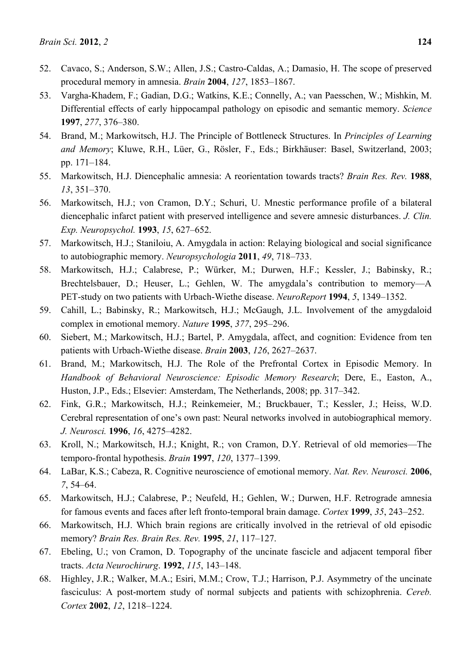- 52. Cavaco, S.; Anderson, S.W.; Allen, J.S.; Castro-Caldas, A.; Damasio, H. The scope of preserved procedural memory in amnesia. *Brain* **2004**, *127*, 1853–1867.
- 53. Vargha-Khadem, F.; Gadian, D.G.; Watkins, K.E.; Connelly, A.; van Paesschen, W.; Mishkin, M. Differential effects of early hippocampal pathology on episodic and semantic memory. *Science*  **1997**, *277*, 376–380.
- 54. Brand, M.; Markowitsch, H.J. The Principle of Bottleneck Structures. In *Principles of Learning and Memory*; Kluwe, R.H., Lüer, G., Rösler, F., Eds.; Birkhäuser: Basel, Switzerland, 2003; pp. 171–184.
- 55. Markowitsch, H.J. Diencephalic amnesia: A reorientation towards tracts? *Brain Res. Rev.* **1988**, *13*, 351–370.
- 56. Markowitsch, H.J.; von Cramon, D.Y.; Schuri, U. Mnestic performance profile of a bilateral diencephalic infarct patient with preserved intelligence and severe amnesic disturbances. *J. Clin. Exp. Neuropsychol.* **1993**, *15*, 627–652.
- 57. Markowitsch, H.J.; Staniloiu, A. Amygdala in action: Relaying biological and social significance to autobiographic memory. *Neuropsychologia* **2011**, *49*, 718–733.
- 58. Markowitsch, H.J.; Calabrese, P.; Würker, M.; Durwen, H.F.; Kessler, J.; Babinsky, R.; Brechtelsbauer, D.; Heuser, L.; Gehlen, W. The amygdala's contribution to memory—A PET-study on two patients with Urbach-Wiethe disease. *NeuroReport* **1994**, *5*, 1349–1352.
- 59. Cahill, L.; Babinsky, R.; Markowitsch, H.J.; McGaugh, J.L. Involvement of the amygdaloid complex in emotional memory. *Nature* **1995**, *377*, 295–296.
- 60. Siebert, M.; Markowitsch, H.J.; Bartel, P. Amygdala, affect, and cognition: Evidence from ten patients with Urbach-Wiethe disease. *Brain* **2003**, *126*, 2627–2637.
- 61. Brand, M.; Markowitsch, H.J. The Role of the Prefrontal Cortex in Episodic Memory. In *Handbook of Behavioral Neuroscience: Episodic Memory Research*; Dere, E., Easton, A., Huston, J.P., Eds.; Elsevier: Amsterdam, The Netherlands, 2008; pp. 317–342.
- 62. Fink, G.R.; Markowitsch, H.J.; Reinkemeier, M.; Bruckbauer, T.; Kessler, J.; Heiss, W.D. Cerebral representation of one's own past: Neural networks involved in autobiographical memory. *J. Neurosci.* **1996**, *16*, 4275–4282.
- 63. Kroll, N.; Markowitsch, H.J.; Knight, R.; von Cramon, D.Y. Retrieval of old memories—The temporo-frontal hypothesis. *Brain* **1997**, *120*, 1377–1399.
- 64. LaBar, K.S.; Cabeza, R. Cognitive neuroscience of emotional memory. *Nat. Rev. Neurosci.* **2006**, *7*, 54–64.
- 65. Markowitsch, H.J.; Calabrese, P.; Neufeld, H.; Gehlen, W.; Durwen, H.F. Retrograde amnesia for famous events and faces after left fronto-temporal brain damage. *Cortex* **1999**, *35*, 243–252.
- 66. Markowitsch, H.J. Which brain regions are critically involved in the retrieval of old episodic memory? *Brain Res. Brain Res. Rev.* **1995**, *21*, 117–127.
- 67. Ebeling, U.; von Cramon, D. Topography of the uncinate fascicle and adjacent temporal fiber tracts. *Acta Neurochirurg*. **1992**, *115*, 143–148.
- 68. Highley, J.R.; Walker, M.A.; Esiri, M.M.; Crow, T.J.; Harrison, P.J. Asymmetry of the uncinate fasciculus: A post-mortem study of normal subjects and patients with schizophrenia. *Cereb. Cortex* **2002**, *12*, 1218–1224.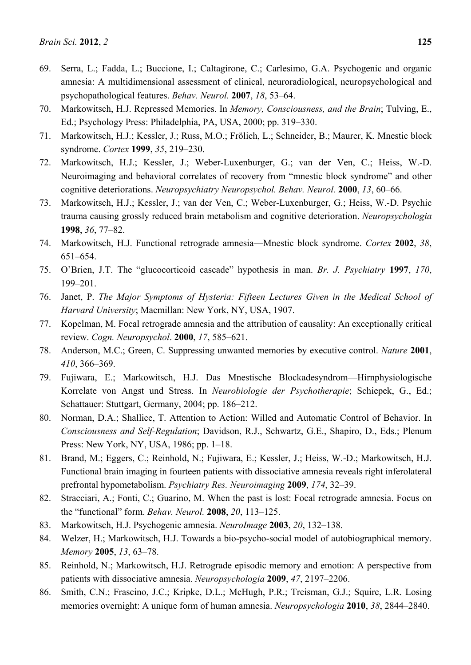- 69. Serra, L.; Fadda, L.; Buccione, I.; Caltagirone, C.; Carlesimo, G.A. Psychogenic and organic amnesia: A multidimensional assessment of clinical, neuroradiological, neuropsychological and psychopathological features. *Behav. Neurol.* **2007**, *18*, 53–64.
- 70. Markowitsch, H.J. Repressed Memories. In *Memory, Consciousness, and the Brain*; Tulving, E., Ed.; Psychology Press: Philadelphia, PA, USA, 2000; pp. 319–330.
- 71. Markowitsch, H.J.; Kessler, J.; Russ, M.O.; Frölich, L.; Schneider, B.; Maurer, K. Mnestic block syndrome. *Cortex* **1999**, *35*, 219–230.
- 72. Markowitsch, H.J.; Kessler, J.; Weber-Luxenburger, G.; van der Ven, C.; Heiss, W.-D. Neuroimaging and behavioral correlates of recovery from "mnestic block syndrome" and other cognitive deteriorations. *Neuropsychiatry Neuropsychol. Behav. Neurol.* **2000**, *13*, 60–66.
- 73. Markowitsch, H.J.; Kessler, J.; van der Ven, C.; Weber-Luxenburger, G.; Heiss, W.-D. Psychic trauma causing grossly reduced brain metabolism and cognitive deterioration. *Neuropsychologia* **1998**, *36*, 77–82.
- 74. Markowitsch, H.J. Functional retrograde amnesia—Mnestic block syndrome. *Cortex* **2002**, *38*, 651–654.
- 75. O'Brien, J.T. The "glucocorticoid cascade" hypothesis in man. *Br. J. Psychiatry* **1997**, *170*, 199–201.
- 76. Janet, P. *The Major Symptoms of Hysteria: Fifteen Lectures Given in the Medical School of Harvard University*; Macmillan: New York, NY, USA, 1907.
- 77. Kopelman, M. Focal retrograde amnesia and the attribution of causality: An exceptionally critical review. *Cogn. Neuropsychol*. **2000**, *17*, 585–621.
- 78. Anderson, M.C.; Green, C. Suppressing unwanted memories by executive control. *Nature* **2001**, *410*, 366–369.
- 79. Fujiwara, E.; Markowitsch, H.J. Das Mnestische Blockadesyndrom—Hirnphysiologische Korrelate von Angst und Stress. In *Neurobiologie der Psychotherapie*; Schiepek, G., Ed.; Schattauer: Stuttgart, Germany, 2004; pp. 186–212.
- 80. Norman, D.A.; Shallice, T. Attention to Action: Willed and Automatic Control of Behavior. In *Consciousness and Self-Regulation*; Davidson, R.J., Schwartz, G.E., Shapiro, D., Eds.; Plenum Press: New York, NY, USA, 1986; pp. 1–18.
- 81. Brand, M.; Eggers, C.; Reinhold, N.; Fujiwara, E.; Kessler, J.; Heiss, W.-D.; Markowitsch, H.J. Functional brain imaging in fourteen patients with dissociative amnesia reveals right inferolateral prefrontal hypometabolism. *Psychiatry Res. Neuroimaging* **2009**, *174*, 32–39.
- 82. Stracciari, A.; Fonti, C.; Guarino, M. When the past is lost: Focal retrograde amnesia. Focus on the "functional" form. *Behav. Neurol.* **2008**, *20*, 113–125.
- 83. Markowitsch, H.J. Psychogenic amnesia. *NeuroImage* **2003**, *20*, 132–138.
- 84. Welzer, H.; Markowitsch, H.J. Towards a bio-psycho-social model of autobiographical memory. *Memory* **2005**, *13*, 63–78.
- 85. Reinhold, N.; Markowitsch, H.J. Retrograde episodic memory and emotion: A perspective from patients with dissociative amnesia. *Neuropsychologia* **2009**, *47*, 2197–2206.
- 86. Smith, C.N.; Frascino, J.C.; Kripke, D.L.; McHugh, P.R.; Treisman, G.J.; Squire, L.R. Losing memories overnight: A unique form of human amnesia. *Neuropsychologia* **2010**, *38*, 2844–2840.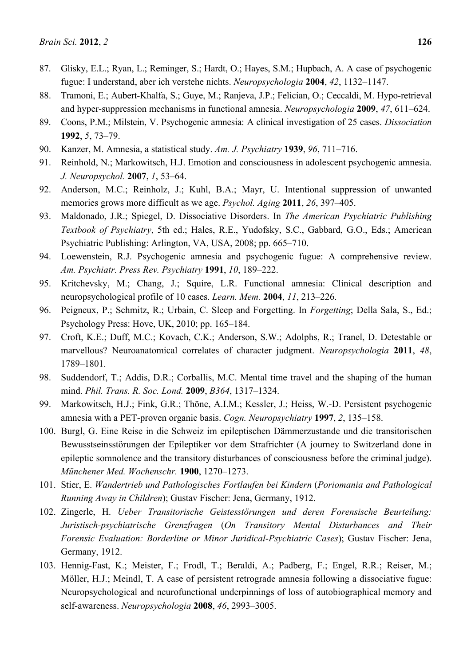- 87. Glisky, E.L.; Ryan, L.; Reminger, S.; Hardt, O.; Hayes, S.M.; Hupbach, A. A case of psychogenic fugue: I understand, aber ich verstehe nichts. *Neuropsychologia* **2004**, *42*, 1132–1147.
- 88. Tramoni, E.; Aubert-Khalfa, S.; Guye, M.; Ranjeva, J.P.; Felician, O.; Ceccaldi, M. Hypo-retrieval and hyper-suppression mechanisms in functional amnesia. *Neuropsychologia* **2009**, *47*, 611–624.
- 89. Coons, P.M.; Milstein, V. Psychogenic amnesia: A clinical investigation of 25 cases. *Dissociation* **1992**, *5*, 73–79.
- 90. Kanzer, M. Amnesia, a statistical study. *Am. J. Psychiatry* **1939**, *96*, 711–716.
- 91. Reinhold, N.; Markowitsch, H.J. Emotion and consciousness in adolescent psychogenic amnesia. *J. Neuropsychol.* **2007**, *1*, 53–64.
- 92. Anderson, M.C.; Reinholz, J.; Kuhl, B.A.; Mayr, U. Intentional suppression of unwanted memories grows more difficult as we age. *Psychol. Aging* **2011**, *26*, 397–405.
- 93. Maldonado, J.R.; Spiegel, D. Dissociative Disorders. In *The American Psychiatric Publishing Textbook of Psychiatry*, 5th ed.; Hales, R.E., Yudofsky, S.C., Gabbard, G.O., Eds.; American Psychiatric Publishing: Arlington, VA, USA, 2008; pp. 665–710.
- 94. Loewenstein, R.J. Psychogenic amnesia and psychogenic fugue: A comprehensive review. *Am. Psychiatr. Press Rev. Psychiatry* **1991**, *10*, 189–222.
- 95. Kritchevsky, M.; Chang, J.; Squire, L.R. Functional amnesia: Clinical description and neuropsychological profile of 10 cases. *Learn. Mem.* **2004**, *11*, 213–226.
- 96. Peigneux, P.; Schmitz, R.; Urbain, C. Sleep and Forgetting. In *Forgetting*; Della Sala, S., Ed.; Psychology Press: Hove, UK, 2010; pp. 165–184.
- 97. Croft, K.E.; Duff, M.C.; Kovach, C.K.; Anderson, S.W.; Adolphs, R.; Tranel, D. Detestable or marvellous? Neuroanatomical correlates of character judgment. *Neuropsychologia* **2011**, *48*, 1789–1801.
- 98. Suddendorf, T.; Addis, D.R.; Corballis, M.C. Mental time travel and the shaping of the human mind. *Phil. Trans. R. Soc. Lond.* **2009**, *B364*, 1317–1324.
- 99. Markowitsch, H.J.; Fink, G.R.; Thöne, A.I.M.; Kessler, J.; Heiss, W.-D. Persistent psychogenic amnesia with a PET-proven organic basis. *Cogn. Neuropsychiatry* **1997**, *2*, 135–158.
- 100. Burgl, G. Eine Reise in die Schweiz im epileptischen Dämmerzustande und die transitorischen Bewusstseinsstörungen der Epileptiker vor dem Strafrichter (A journey to Switzerland done in epileptic somnolence and the transitory disturbances of consciousness before the criminal judge). *Münchener Med. Wochenschr.* **1900**, 1270–1273.
- 101. Stier, E. *Wandertrieb und Pathologisches Fortlaufen bei Kindern* (*Poriomania and Pathological Running Away in Children*); Gustav Fischer: Jena, Germany, 1912.
- 102. Zingerle, H. *Ueber Transitorische Geistesstörungen und deren Forensische Beurteilung: Juristisch-psychiatrische Grenzfragen* (*On Transitory Mental Disturbances and Their Forensic Evaluation: Borderline or Minor Juridical-Psychiatric Cases*); Gustav Fischer: Jena, Germany, 1912.
- 103. Hennig-Fast, K.; Meister, F.; Frodl, T.; Beraldi, A.; Padberg, F.; Engel, R.R.; Reiser, M.; Möller, H.J.; Meindl, T. A case of persistent retrograde amnesia following a dissociative fugue: Neuropsychological and neurofunctional underpinnings of loss of autobiographical memory and self-awareness. *Neuropsychologia* **2008**, *46*, 2993–3005.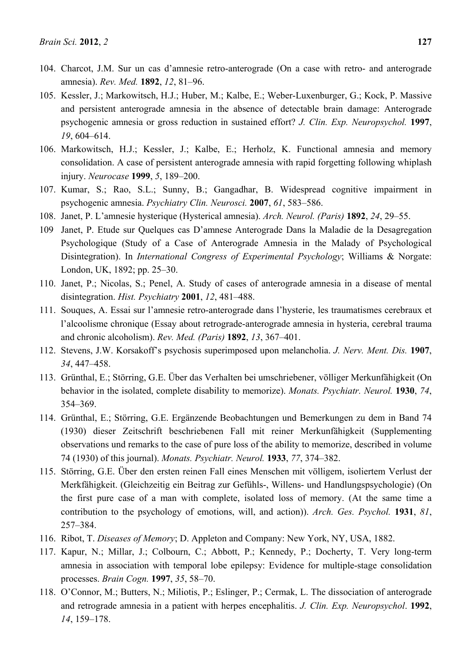- 104. Charcot, J.M. Sur un cas d'amnesie retro-anterograde (On a case with retro- and anterograde amnesia). *Rev. Med.* **1892**, *12*, 81–96.
- 105. Kessler, J.; Markowitsch, H.J.; Huber, M.; Kalbe, E.; Weber-Luxenburger, G.; Kock, P. Massive and persistent anterograde amnesia in the absence of detectable brain damage: Anterograde psychogenic amnesia or gross reduction in sustained effort? *J. Clin. Exp. Neuropsychol.* **1997**, *19*, 604–614.
- 106. Markowitsch, H.J.; Kessler, J.; Kalbe, E.; Herholz, K. Functional amnesia and memory consolidation. A case of persistent anterograde amnesia with rapid forgetting following whiplash injury. *Neurocase* **1999**, *5*, 189–200.
- 107. Kumar, S.; Rao, S.L.; Sunny, B.; Gangadhar, B. Widespread cognitive impairment in psychogenic amnesia. *Psychiatry Clin. Neurosci.* **2007**, *61*, 583–586.
- 108. Janet, P. L'amnesie hysterique (Hysterical amnesia). *Arch. Neurol. (Paris)* **1892**, *24*, 29–55.
- 109 Janet, P. Etude sur Quelques cas D'amnese Anterograde Dans la Maladie de la Desagregation Psychologique (Study of a Case of Anterograde Amnesia in the Malady of Psychological Disintegration). In *International Congress of Experimental Psychology*; Williams & Norgate: London, UK, 1892; pp. 25–30.
- 110. Janet, P.; Nicolas, S.; Penel, A. Study of cases of anterograde amnesia in a disease of mental disintegration. *Hist. Psychiatry* **2001**, *12*, 481–488.
- 111. Souques, A. Essai sur l'amnesie retro-anterograde dans l'hysterie, les traumatismes cerebraux et l'alcoolisme chronique (Essay about retrograde-anterograde amnesia in hysteria, cerebral trauma and chronic alcoholism). *Rev. Med. (Paris)* **1892**, *13*, 367–401.
- 112. Stevens, J.W. Korsakoff's psychosis superimposed upon melancholia. *J. Nerv. Ment. Dis.* **1907**, *34*, 447–458.
- 113. Grünthal, E.; Störring, G.E. Über das Verhalten bei umschriebener, völliger Merkunfähigkeit (On behavior in the isolated, complete disability to memorize). *Monats. Psychiatr. Neurol.* **1930**, *74*, 354–369.
- 114. Grünthal, E.; Störring, G.E. Ergänzende Beobachtungen und Bemerkungen zu dem in Band 74 (1930) dieser Zeitschrift beschriebenen Fall mit reiner Merkunfähigkeit (Supplementing observations und remarks to the case of pure loss of the ability to memorize, described in volume 74 (1930) of this journal). *Monats. Psychiatr. Neurol.* **1933**, *77*, 374–382.
- 115. Störring, G.E. Über den ersten reinen Fall eines Menschen mit völligem, isoliertem Verlust der Merkfähigkeit. (Gleichzeitig ein Beitrag zur Gefühls-, Willens- und Handlungspsychologie) (On the first pure case of a man with complete, isolated loss of memory. (At the same time a contribution to the psychology of emotions, will, and action)). *Arch. Ges. Psychol.* **1931**, *81*, 257–384.
- 116. Ribot, T. *Diseases of Memory*; D. Appleton and Company: New York, NY, USA, 1882.
- 117. Kapur, N.; Millar, J.; Colbourn, C.; Abbott, P.; Kennedy, P.; Docherty, T. Very long-term amnesia in association with temporal lobe epilepsy: Evidence for multiple-stage consolidation processes. *Brain Cogn.* **1997**, *35*, 58–70.
- 118. O'Connor, M.; Butters, N.; Miliotis, P.; Eslinger, P.; Cermak, L. The dissociation of anterograde and retrograde amnesia in a patient with herpes encephalitis. *J. Clin. Exp. Neuropsychol*. **1992**, *14*, 159–178.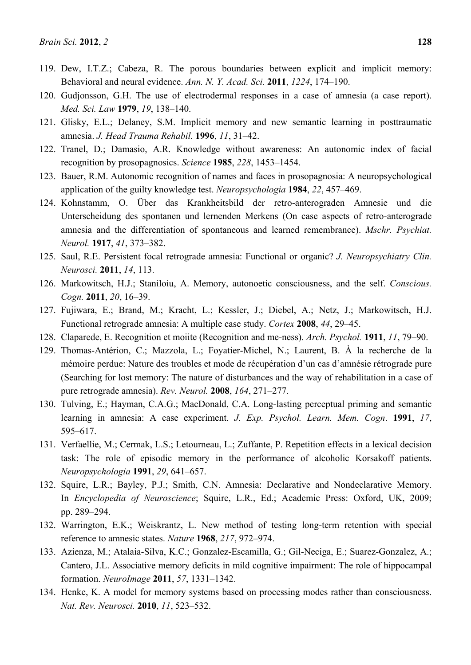- 120. Gudjonsson, G.H. The use of electrodermal responses in a case of amnesia (a case report). *Med. Sci. Law* **1979**, *19*, 138–140.
- 121. Glisky, E.L.; Delaney, S.M. Implicit memory and new semantic learning in posttraumatic amnesia. *J. Head Trauma Rehabil.* **1996**, *11*, 31–42.
- 122. Tranel, D.; Damasio, A.R. Knowledge without awareness: An autonomic index of facial recognition by prosopagnosics. *Science* **1985**, *228*, 1453–1454.
- 123. Bauer, R.M. Autonomic recognition of names and faces in prosopagnosia: A neuropsychological application of the guilty knowledge test. *Neuropsychologia* **1984**, *22*, 457–469.
- 124. Kohnstamm, O. Über das Krankheitsbild der retro-anterograden Amnesie und die Unterscheidung des spontanen und lernenden Merkens (On case aspects of retro-anterograde amnesia and the differentiation of spontaneous and learned remembrance). *Mschr. Psychiat. Neurol.* **1917**, *41*, 373–382.
- 125. Saul, R.E. Persistent focal retrograde amnesia: Functional or organic? *J. Neuropsychiatry Clin. Neurosci.* **2011**, *14*, 113.
- 126. Markowitsch, H.J.; Staniloiu, A. Memory, autonoetic consciousness, and the self. *Conscious. Cogn.* **2011**, *20*, 16–39.
- 127. Fujiwara, E.; Brand, M.; Kracht, L.; Kessler, J.; Diebel, A.; Netz, J.; Markowitsch, H.J. Functional retrograde amnesia: A multiple case study. *Cortex* **2008**, *44*, 29–45.
- 128. Claparede, E. Recognition et moiite (Recognition and me-ness). *Arch. Psychol.* **1911**, *11*, 79–90.
- 129. Thomas-Antérion, C.; Mazzola, L.; Foyatier-Michel, N.; Laurent, B. À la recherche de la mémoire perdue: Nature des troubles et mode de récupération d'un cas d'amnésie rétrograde pure (Searching for lost memory: The nature of disturbances and the way of rehabilitation in a case of pure retrograde amnesia). *Rev. Neurol.* **2008**, *164*, 271–277.
- 130. Tulving, E.; Hayman, C.A.G.; MacDonald, C.A. Long-lasting perceptual priming and semantic learning in amnesia: A case experiment. *J. Exp. Psychol. Learn. Mem. Cogn*. **1991**, *17*, 595–617.
- 131. Verfaellie, M.; Cermak, L.S.; Letourneau, L.; Zuffante, P. Repetition effects in a lexical decision task: The role of episodic memory in the performance of alcoholic Korsakoff patients. *Neuropsychologia* **1991**, *29*, 641–657.
- 132. Squire, L.R.; Bayley, P.J.; Smith, C.N. Amnesia: Declarative and Nondeclarative Memory. In *Encyclopedia of Neuroscience*; Squire, L.R., Ed.; Academic Press: Oxford, UK, 2009; pp. 289–294.
- 132. Warrington, E.K.; Weiskrantz, L. New method of testing long-term retention with special reference to amnesic states. *Nature* **1968**, *217*, 972–974.
- 133. Azienza, M.; Atalaia-Silva, K.C.; Gonzalez-Escamilla, G.; Gil-Neciga, E.; Suarez-Gonzalez, A.; Cantero, J.L. Associative memory deficits in mild cognitive impairment: The role of hippocampal formation. *NeuroImage* **2011**, *57*, 1331–1342.
- 134. Henke, K. A model for memory systems based on processing modes rather than consciousness. *Nat. Rev. Neurosci.* **2010**, *11*, 523–532.